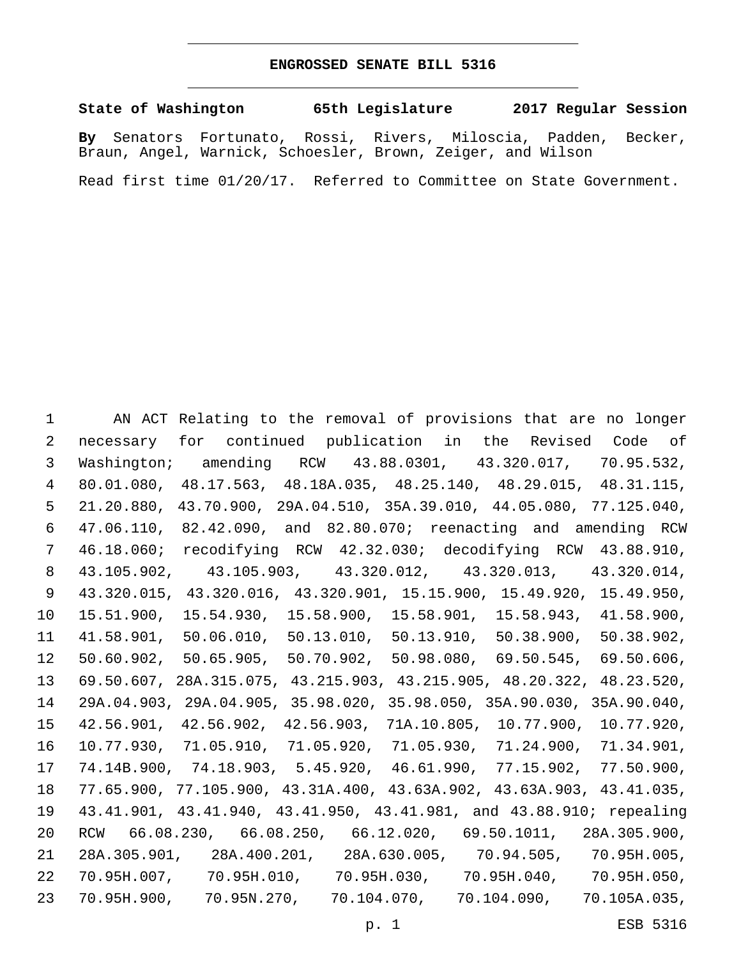## **ENGROSSED SENATE BILL 5316**

**State of Washington 65th Legislature 2017 Regular Session**

**By** Senators Fortunato, Rossi, Rivers, Miloscia, Padden, Becker, Braun, Angel, Warnick, Schoesler, Brown, Zeiger, and Wilson

Read first time 01/20/17. Referred to Committee on State Government.

 AN ACT Relating to the removal of provisions that are no longer necessary for continued publication in the Revised Code of Washington; amending RCW 43.88.0301, 43.320.017, 70.95.532, 80.01.080, 48.17.563, 48.18A.035, 48.25.140, 48.29.015, 48.31.115, 21.20.880, 43.70.900, 29A.04.510, 35A.39.010, 44.05.080, 77.125.040, 47.06.110, 82.42.090, and 82.80.070; reenacting and amending RCW 46.18.060; recodifying RCW 42.32.030; decodifying RCW 43.88.910, 43.105.902, 43.105.903, 43.320.012, 43.320.013, 43.320.014, 43.320.015, 43.320.016, 43.320.901, 15.15.900, 15.49.920, 15.49.950, 15.51.900, 15.54.930, 15.58.900, 15.58.901, 15.58.943, 41.58.900, 41.58.901, 50.06.010, 50.13.010, 50.13.910, 50.38.900, 50.38.902, 50.60.902, 50.65.905, 50.70.902, 50.98.080, 69.50.545, 69.50.606, 69.50.607, 28A.315.075, 43.215.903, 43.215.905, 48.20.322, 48.23.520, 29A.04.903, 29A.04.905, 35.98.020, 35.98.050, 35A.90.030, 35A.90.040, 42.56.901, 42.56.902, 42.56.903, 71A.10.805, 10.77.900, 10.77.920, 10.77.930, 71.05.910, 71.05.920, 71.05.930, 71.24.900, 71.34.901, 74.14B.900, 74.18.903, 5.45.920, 46.61.990, 77.15.902, 77.50.900, 77.65.900, 77.105.900, 43.31A.400, 43.63A.902, 43.63A.903, 43.41.035, 43.41.901, 43.41.940, 43.41.950, 43.41.981, and 43.88.910; repealing RCW 66.08.230, 66.08.250, 66.12.020, 69.50.1011, 28A.305.900, 28A.305.901, 28A.400.201, 28A.630.005, 70.94.505, 70.95H.005, 70.95H.007, 70.95H.010, 70.95H.030, 70.95H.040, 70.95H.050, 70.95H.900, 70.95N.270, 70.104.070, 70.104.090, 70.105A.035,

p. 1 ESB 5316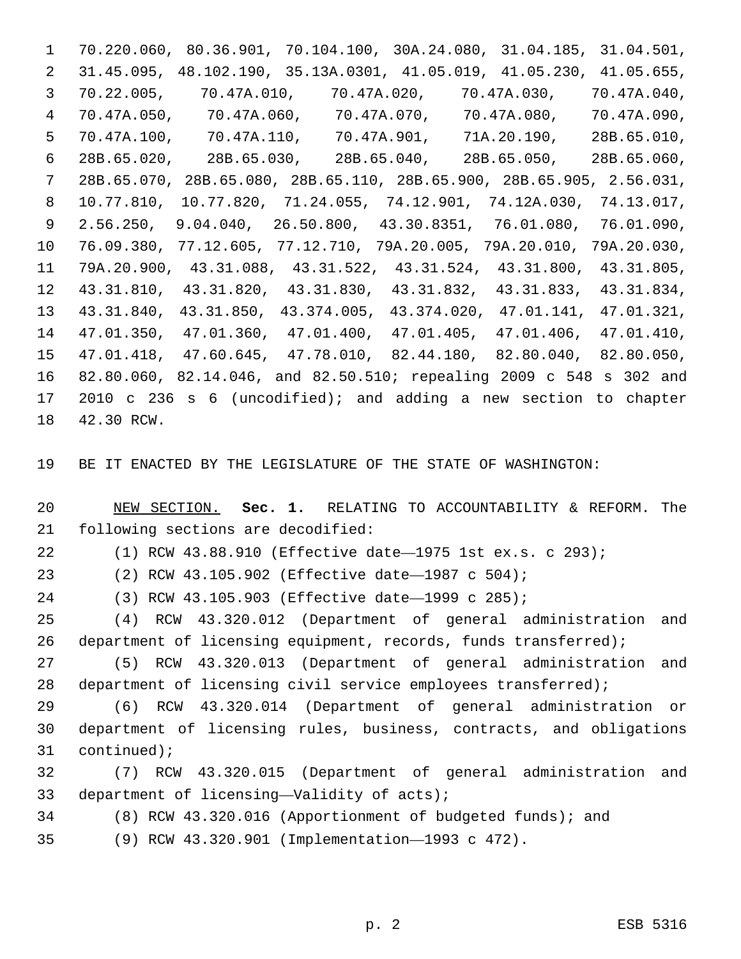70.220.060, 80.36.901, 70.104.100, 30A.24.080, 31.04.185, 31.04.501, 31.45.095, 48.102.190, 35.13A.0301, 41.05.019, 41.05.230, 41.05.655, 70.22.005, 70.47A.010, 70.47A.020, 70.47A.030, 70.47A.040, 70.47A.050, 70.47A.060, 70.47A.070, 70.47A.080, 70.47A.090, 70.47A.100, 70.47A.110, 70.47A.901, 71A.20.190, 28B.65.010, 28B.65.020, 28B.65.030, 28B.65.040, 28B.65.050, 28B.65.060, 28B.65.070, 28B.65.080, 28B.65.110, 28B.65.900, 28B.65.905, 2.56.031, 10.77.810, 10.77.820, 71.24.055, 74.12.901, 74.12A.030, 74.13.017, 2.56.250, 9.04.040, 26.50.800, 43.30.8351, 76.01.080, 76.01.090, 76.09.380, 77.12.605, 77.12.710, 79A.20.005, 79A.20.010, 79A.20.030, 79A.20.900, 43.31.088, 43.31.522, 43.31.524, 43.31.800, 43.31.805, 43.31.810, 43.31.820, 43.31.830, 43.31.832, 43.31.833, 43.31.834, 43.31.840, 43.31.850, 43.374.005, 43.374.020, 47.01.141, 47.01.321, 47.01.350, 47.01.360, 47.01.400, 47.01.405, 47.01.406, 47.01.410, 47.01.418, 47.60.645, 47.78.010, 82.44.180, 82.80.040, 82.80.050, 82.80.060, 82.14.046, and 82.50.510; repealing 2009 c 548 s 302 and 2010 c 236 s 6 (uncodified); and adding a new section to chapter 18 42.30 RCW.

BE IT ENACTED BY THE LEGISLATURE OF THE STATE OF WASHINGTON:

 NEW SECTION. **Sec. 1.** RELATING TO ACCOUNTABILITY & REFORM. The following sections are decodified:

(1) RCW 43.88.910 (Effective date—1975 1st ex.s. c 293);

(2) RCW 43.105.902 (Effective date—1987 c 504);

(3) RCW 43.105.903 (Effective date—1999 c 285);

 (4) RCW 43.320.012 (Department of general administration and 26 department of licensing equipment, records, funds transferred);

 (5) RCW 43.320.013 (Department of general administration and 28 department of licensing civil service employees transferred);

 (6) RCW 43.320.014 (Department of general administration or department of licensing rules, business, contracts, and obligations 31 continued);

 (7) RCW 43.320.015 (Department of general administration and 33 department of licensing—Validity of acts);

(8) RCW 43.320.016 (Apportionment of budgeted funds); and

(9) RCW 43.320.901 (Implementation—1993 c 472).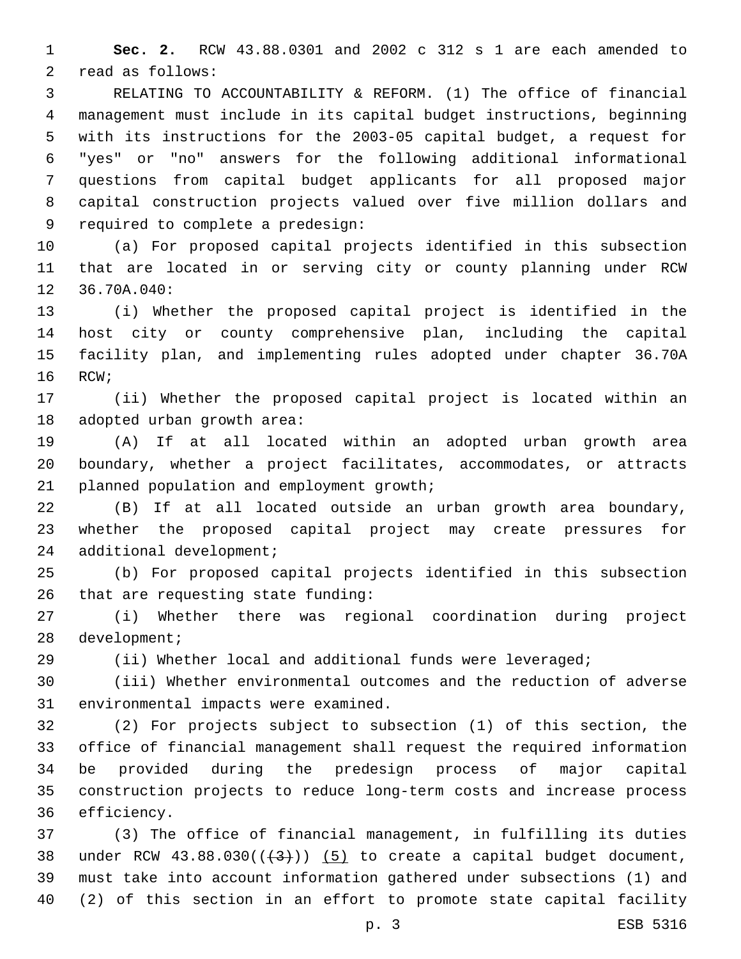**Sec. 2.** RCW 43.88.0301 and 2002 c 312 s 1 are each amended to 2 read as follows:

 RELATING TO ACCOUNTABILITY & REFORM. (1) The office of financial management must include in its capital budget instructions, beginning with its instructions for the 2003-05 capital budget, a request for "yes" or "no" answers for the following additional informational questions from capital budget applicants for all proposed major capital construction projects valued over five million dollars and 9 required to complete a predesign:

 (a) For proposed capital projects identified in this subsection that are located in or serving city or county planning under RCW 12 36.70A.040:

 (i) Whether the proposed capital project is identified in the host city or county comprehensive plan, including the capital facility plan, and implementing rules adopted under chapter 36.70A 16 RCW;

 (ii) Whether the proposed capital project is located within an 18 adopted urban growth area:

 (A) If at all located within an adopted urban growth area boundary, whether a project facilitates, accommodates, or attracts 21 planned population and employment growth;

 (B) If at all located outside an urban growth area boundary, whether the proposed capital project may create pressures for 24 additional development;

 (b) For proposed capital projects identified in this subsection 26 that are requesting state funding:

 (i) Whether there was regional coordination during project 28 development;

(ii) Whether local and additional funds were leveraged;

 (iii) Whether environmental outcomes and the reduction of adverse 31 environmental impacts were examined.

 (2) For projects subject to subsection (1) of this section, the office of financial management shall request the required information be provided during the predesign process of major capital construction projects to reduce long-term costs and increase process 36 efficiency.

 (3) The office of financial management, in fulfilling its duties 38 under RCW  $43.88.030((+3))$   $(5)$  to create a capital budget document, must take into account information gathered under subsections (1) and (2) of this section in an effort to promote state capital facility

p. 3 ESB 5316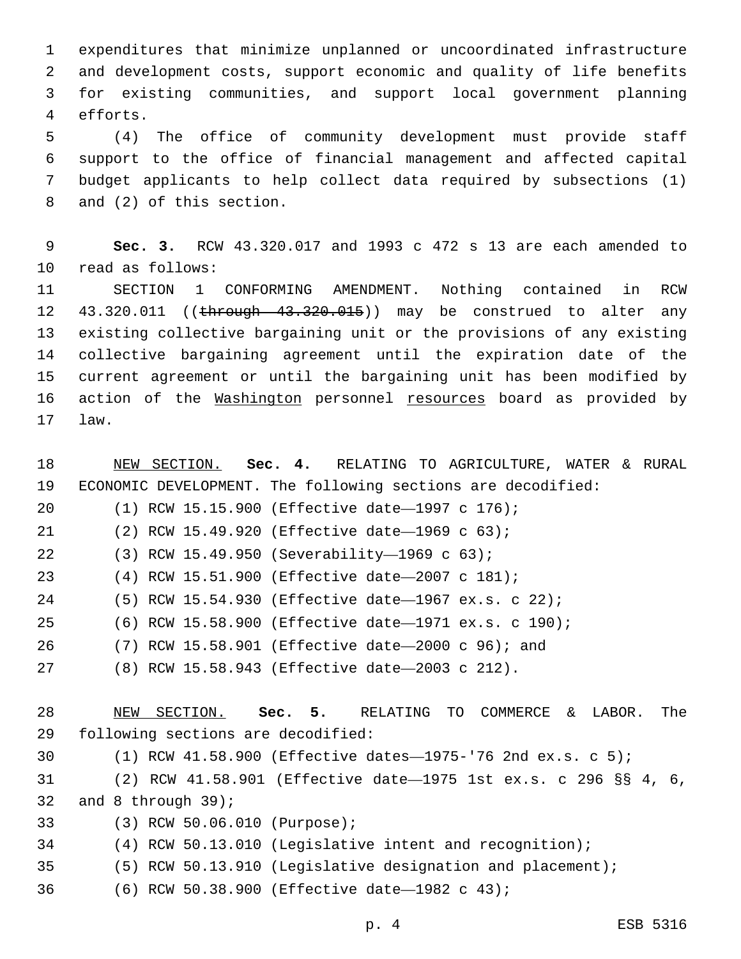expenditures that minimize unplanned or uncoordinated infrastructure and development costs, support economic and quality of life benefits for existing communities, and support local government planning 4 efforts.

 (4) The office of community development must provide staff support to the office of financial management and affected capital budget applicants to help collect data required by subsections (1) 8 and (2) of this section.

 **Sec. 3.** RCW 43.320.017 and 1993 c 472 s 13 are each amended to 10 read as follows:

 SECTION 1 CONFORMING AMENDMENT. Nothing contained in RCW 12 43.320.011 ((through 43.320.015)) may be construed to alter any existing collective bargaining unit or the provisions of any existing collective bargaining agreement until the expiration date of the current agreement or until the bargaining unit has been modified by 16 action of the Washington personnel resources board as provided by 17 law.

 NEW SECTION. **Sec. 4.** RELATING TO AGRICULTURE, WATER & RURAL ECONOMIC DEVELOPMENT. The following sections are decodified: (1) RCW 15.15.900 (Effective date—1997 c 176); 21 (2) RCW 15.49.920 (Effective date-1969 c 63); (3) RCW 15.49.950 (Severability—1969 c 63);22 (4) RCW 15.51.900 (Effective date—2007 c 181); (5) RCW 15.54.930 (Effective date—1967 ex.s. c 22); (6) RCW 15.58.900 (Effective date—1971 ex.s. c 190); (7) RCW 15.58.901 (Effective date—2000 c 96); and (8) RCW 15.58.943 (Effective date—2003 c 212). NEW SECTION. **Sec. 5.** RELATING TO COMMERCE & LABOR. The following sections are decodified: (1) RCW 41.58.900 (Effective dates—1975-'76 2nd ex.s. c 5); (2) RCW 41.58.901 (Effective date—1975 1st ex.s. c 296 §§ 4, 6, 32 and 8 through ; (3) RCW 50.06.010 (Purpose);33 (4) RCW 50.13.010 (Legislative intent and recognition); (5) RCW 50.13.910 (Legislative designation and placement); (6) RCW 50.38.900 (Effective date—1982 c 43);36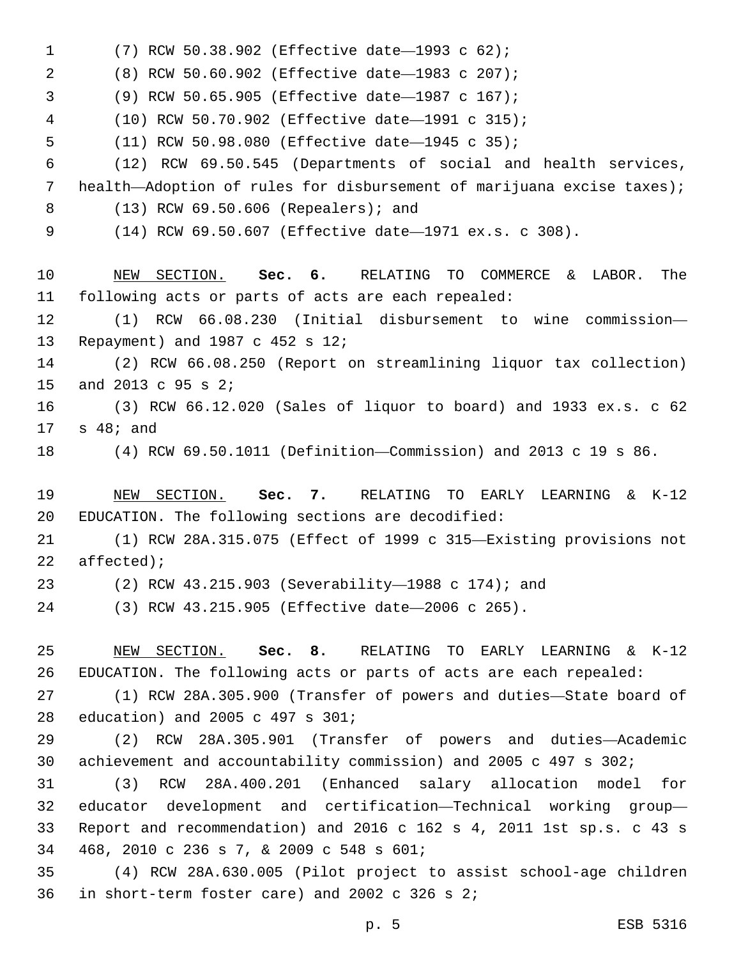(7) RCW 50.38.902 (Effective date—1993 c 62);1 (8) RCW 50.60.902 (Effective date—1983 c 207);2 (9) RCW 50.65.905 (Effective date—1987 c 167);3 (10) RCW 50.70.902 (Effective date—1991 c 315); 5 (11) RCW 50.98.080 (Effective date-1945 c 35); (12) RCW 69.50.545 (Departments of social and health services, health—Adoption of rules for disbursement of marijuana excise taxes); (13) RCW 69.50.606 (Repealers); and8 (14) RCW 69.50.607 (Effective date—1971 ex.s. c 308). NEW SECTION. **Sec. 6.** RELATING TO COMMERCE & LABOR. The following acts or parts of acts are each repealed: (1) RCW 66.08.230 (Initial disbursement to wine commission— 13 Repayment) and 1987 c 452 s 12; (2) RCW 66.08.250 (Report on streamlining liquor tax collection) 15 and 2013 c 95 s 2; (3) RCW 66.12.020 (Sales of liquor to board) and 1933 ex.s. c 62  $17 \quad s \quad 48; \text{ and}$  (4) RCW 69.50.1011 (Definition—Commission) and 2013 c 19 s 86. NEW SECTION. **Sec. 7.** RELATING TO EARLY LEARNING & K-12 EDUCATION. The following sections are decodified: (1) RCW 28A.315.075 (Effect of 1999 c 315—Existing provisions not affected); (2) RCW 43.215.903 (Severability—1988 c 174); and (3) RCW 43.215.905 (Effective date—2006 c 265). NEW SECTION. **Sec. 8.** RELATING TO EARLY LEARNING & K-12 EDUCATION. The following acts or parts of acts are each repealed: (1) RCW 28A.305.900 (Transfer of powers and duties—State board of 28 education) and 2005 c 497 s 301; (2) RCW 28A.305.901 (Transfer of powers and duties—Academic achievement and accountability commission) and 2005 c 497 s 302; (3) RCW 28A.400.201 (Enhanced salary allocation model for educator development and certification—Technical working group— Report and recommendation) and 2016 c 162 s 4, 2011 1st sp.s. c 43 s 468, 2010 c 236 s 7, & 2009 c 548 s 601;34 (4) RCW 28A.630.005 (Pilot project to assist school-age children 36 in short-term foster care) and 2002 c 326 s  $2i$ 

p. 5 ESB 5316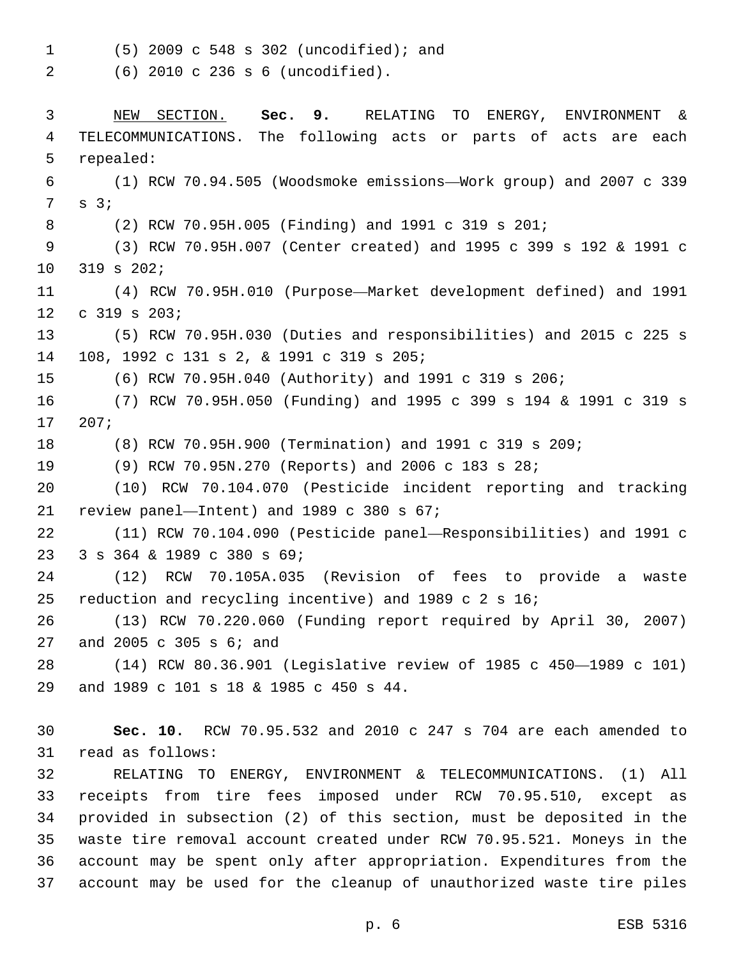(5) 2009 c 548 s 302 (uncodified); and1

(6) 2010 c 236 s 6 (uncodified).2

 NEW SECTION. **Sec. 9.** RELATING TO ENERGY, ENVIRONMENT & TELECOMMUNICATIONS. The following acts or parts of acts are each repealed: (1) RCW 70.94.505 (Woodsmoke emissions—Work group) and 2007 c 339  $7 \quad s \quad 3;7$  (2) RCW 70.95H.005 (Finding) and 1991 c 319 s 201; (3) RCW 70.95H.007 (Center created) and 1995 c 399 s 192 & 1991 c 10 319 s 202; (4) RCW 70.95H.010 (Purpose—Market development defined) and 1991  $c$  319 s 203; (5) RCW 70.95H.030 (Duties and responsibilities) and 2015 c 225 s 14 108, 1992 c 131 s 2, & 1991 c 319 s 205; (6) RCW 70.95H.040 (Authority) and 1991 c 319 s 206; (7) RCW 70.95H.050 (Funding) and 1995 c 399 s 194 & 1991 c 319 s 207;17 (8) RCW 70.95H.900 (Termination) and 1991 c 319 s 209; (9) RCW 70.95N.270 (Reports) and 2006 c 183 s 28; (10) RCW 70.104.070 (Pesticide incident reporting and tracking 21 review panel—Intent) and c 380 s  $67$ ; (11) RCW 70.104.090 (Pesticide panel—Responsibilities) and 1991 c 23 3 s 364 & 1989 c 380 s 69; (12) RCW 70.105A.035 (Revision of fees to provide a waste reduction and recycling incentive) and 1989 c 2 s 16; (13) RCW 70.220.060 (Funding report required by April 30, 2007) 27 and 2005 c 305 s 6; and (14) RCW 80.36.901 (Legislative review of 1985 c 450—1989 c 101) 29 and 1989 c 101 s 18 & 1985 c 450 s 44. **Sec. 10.** RCW 70.95.532 and 2010 c 247 s 704 are each amended to 31 read as follows: RELATING TO ENERGY, ENVIRONMENT & TELECOMMUNICATIONS. (1) All receipts from tire fees imposed under RCW 70.95.510, except as provided in subsection (2) of this section, must be deposited in the waste tire removal account created under RCW 70.95.521. Moneys in the account may be spent only after appropriation. Expenditures from the account may be used for the cleanup of unauthorized waste tire piles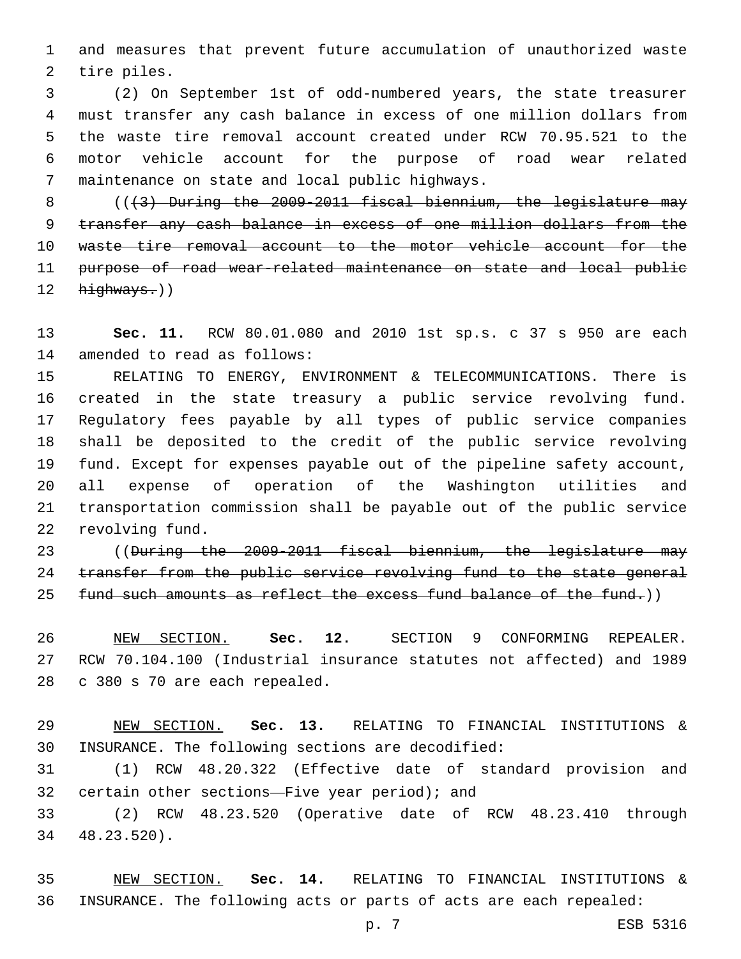and measures that prevent future accumulation of unauthorized waste 2 tire piles.

 (2) On September 1st of odd-numbered years, the state treasurer must transfer any cash balance in excess of one million dollars from the waste tire removal account created under RCW 70.95.521 to the motor vehicle account for the purpose of road wear related 7 maintenance on state and local public highways.

 $($   $($   $($   $\frac{1}{2}$   $)$  During the 2009-2011 fiscal biennium, the legislature may transfer any cash balance in excess of one million dollars from the waste tire removal account to the motor vehicle account for the purpose of road wear-related maintenance on state and local public highways.))

 **Sec. 11.** RCW 80.01.080 and 2010 1st sp.s. c 37 s 950 are each 14 amended to read as follows:

 RELATING TO ENERGY, ENVIRONMENT & TELECOMMUNICATIONS. There is created in the state treasury a public service revolving fund. Regulatory fees payable by all types of public service companies shall be deposited to the credit of the public service revolving fund. Except for expenses payable out of the pipeline safety account, all expense of operation of the Washington utilities and transportation commission shall be payable out of the public service 22 revolving fund.

 ((During the 2009-2011 fiscal biennium, the legislature may 24 transfer from the public service revolving fund to the state general 25 fund such amounts as reflect the excess fund balance of the fund.))

 NEW SECTION. **Sec. 12.** SECTION 9 CONFORMING REPEALER. RCW 70.104.100 (Industrial insurance statutes not affected) and 1989 c 380 s 70 are each repealed.

 NEW SECTION. **Sec. 13.** RELATING TO FINANCIAL INSTITUTIONS & INSURANCE. The following sections are decodified:

 (1) RCW 48.20.322 (Effective date of standard provision and 32 certain other sections—Five year period); and

 (2) RCW 48.23.520 (Operative date of RCW 48.23.410 through 48.23.520).34

 NEW SECTION. **Sec. 14.** RELATING TO FINANCIAL INSTITUTIONS & INSURANCE. The following acts or parts of acts are each repealed: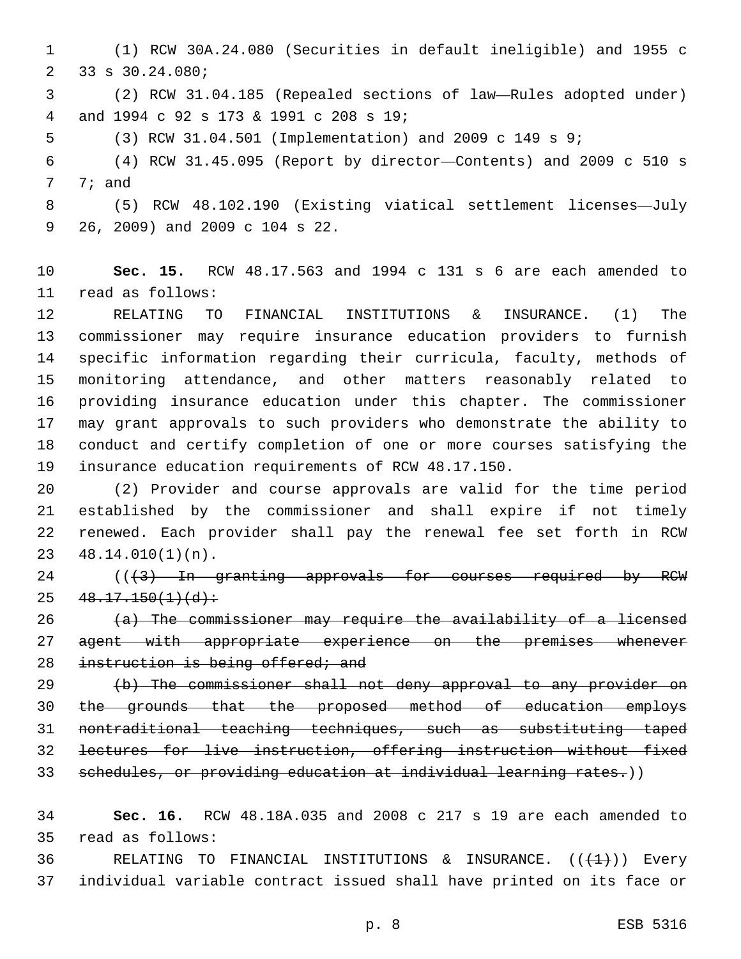(1) RCW 30A.24.080 (Securities in default ineligible) and 1955 c 2 33 s 30.24.080;

 (2) RCW 31.04.185 (Repealed sections of law—Rules adopted under) and 1994 c 92 s 173 & 1991 c 208 s 19;4

(3) RCW 31.04.501 (Implementation) and 2009 c 149 s 9;

 (4) RCW 31.45.095 (Report by director—Contents) and 2009 c 510 s 7; and

 (5) RCW 48.102.190 (Existing viatical settlement licenses—July 9 26, 2009) and 2009 c 104 s 22.

 **Sec. 15.** RCW 48.17.563 and 1994 c 131 s 6 are each amended to 11 read as follows:

 RELATING TO FINANCIAL INSTITUTIONS & INSURANCE. (1) The commissioner may require insurance education providers to furnish specific information regarding their curricula, faculty, methods of monitoring attendance, and other matters reasonably related to providing insurance education under this chapter. The commissioner may grant approvals to such providers who demonstrate the ability to conduct and certify completion of one or more courses satisfying the insurance education requirements of RCW 48.17.150.

 (2) Provider and course approvals are valid for the time period established by the commissioner and shall expire if not timely renewed. Each provider shall pay the renewal fee set forth in RCW  $48.14.010(1)(n)$ .

 ( $(\frac{43}{10}$  In granting approvals for courses required by RCW  $25 \quad 48.17.150(1)(d)$ :

 (a) The commissioner may require the availability of a licensed 27 agent with appropriate experience on the premises whenever 28 instruction is being offered; and

 (b) The commissioner shall not deny approval to any provider on the grounds that the proposed method of education employs nontraditional teaching techniques, such as substituting taped lectures for live instruction, offering instruction without fixed 33 schedules, or providing education at individual learning rates.))

 **Sec. 16.** RCW 48.18A.035 and 2008 c 217 s 19 are each amended to read as follows:35

36 RELATING TO FINANCIAL INSTITUTIONS & INSURANCE.  $((+1+))$  Every individual variable contract issued shall have printed on its face or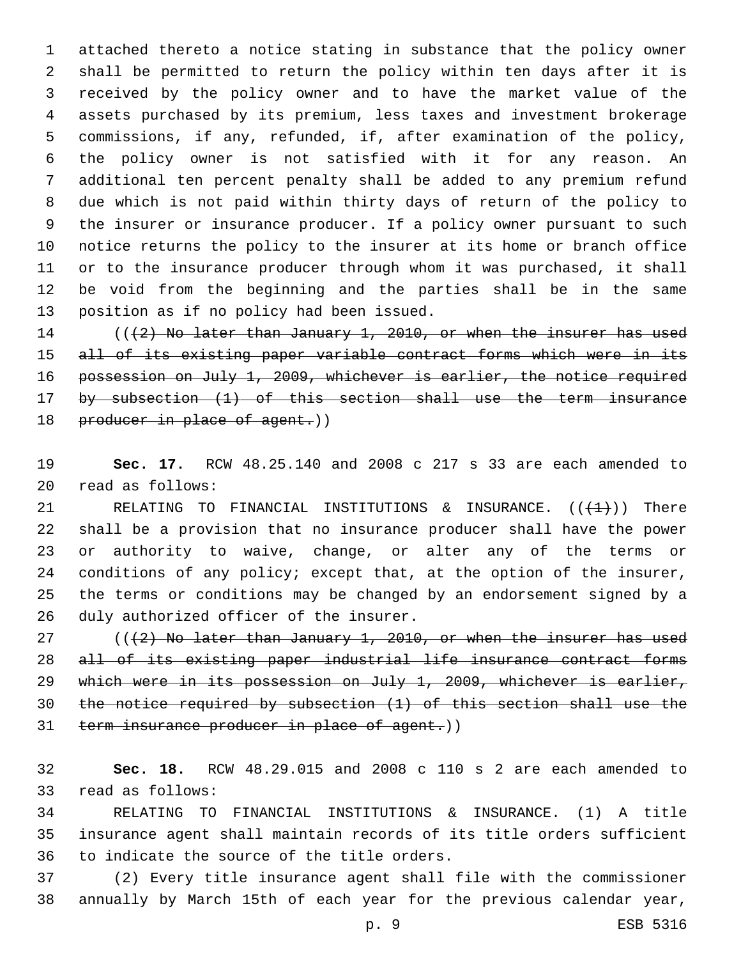attached thereto a notice stating in substance that the policy owner shall be permitted to return the policy within ten days after it is received by the policy owner and to have the market value of the assets purchased by its premium, less taxes and investment brokerage commissions, if any, refunded, if, after examination of the policy, the policy owner is not satisfied with it for any reason. An additional ten percent penalty shall be added to any premium refund due which is not paid within thirty days of return of the policy to the insurer or insurance producer. If a policy owner pursuant to such notice returns the policy to the insurer at its home or branch office or to the insurance producer through whom it was purchased, it shall be void from the beginning and the parties shall be in the same 13 position as if no policy had been issued.

14 (((2) No later than January 1, 2010, or when the insurer has used 15 all of its existing paper variable contract forms which were in its 16 possession on July 1, 2009, whichever is earlier, the notice required by subsection (1) of this section shall use the term insurance 18 producer in place of agent.))

 **Sec. 17.** RCW 48.25.140 and 2008 c 217 s 33 are each amended to read as follows:20

21 RELATING TO FINANCIAL INSTITUTIONS & INSURANCE.  $((+1)^2)$  There shall be a provision that no insurance producer shall have the power or authority to waive, change, or alter any of the terms or conditions of any policy; except that, at the option of the insurer, the terms or conditions may be changed by an endorsement signed by a 26 duly authorized officer of the insurer.

 $((+2)$  No later than January 1, 2010, or when the insurer has used all of its existing paper industrial life insurance contract forms which were in its possession on July 1, 2009, whichever is earlier, the notice required by subsection (1) of this section shall use the 31 term insurance producer in place of agent.))

 **Sec. 18.** RCW 48.29.015 and 2008 c 110 s 2 are each amended to 33 read as follows:

 RELATING TO FINANCIAL INSTITUTIONS & INSURANCE. (1) A title insurance agent shall maintain records of its title orders sufficient 36 to indicate the source of the title orders.

 (2) Every title insurance agent shall file with the commissioner annually by March 15th of each year for the previous calendar year,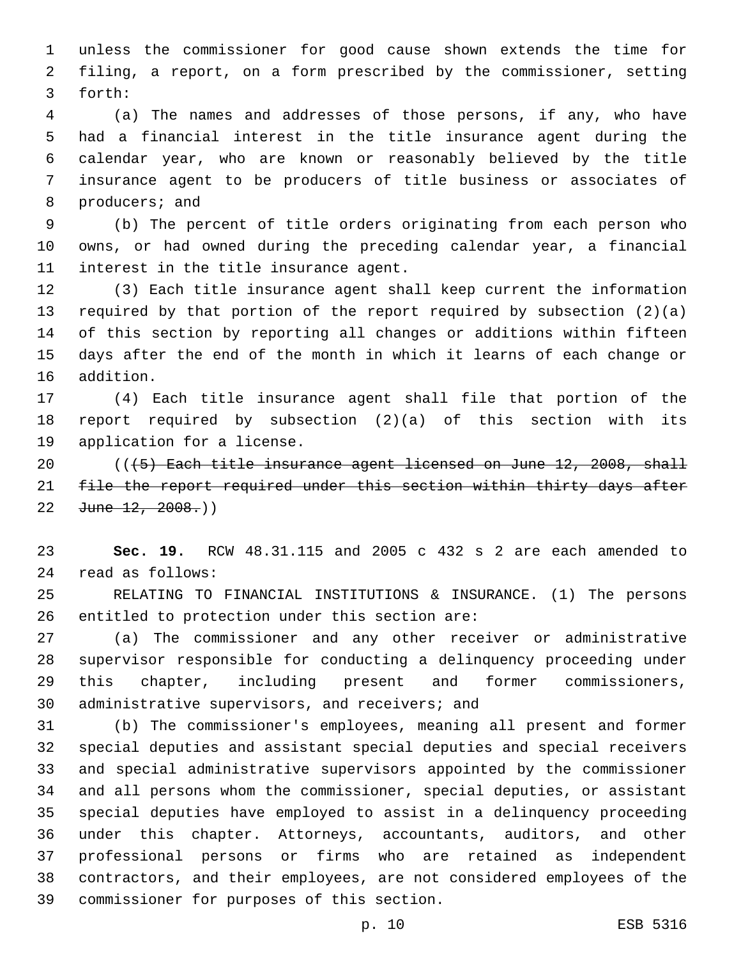unless the commissioner for good cause shown extends the time for filing, a report, on a form prescribed by the commissioner, setting 3 forth:

 (a) The names and addresses of those persons, if any, who have had a financial interest in the title insurance agent during the calendar year, who are known or reasonably believed by the title insurance agent to be producers of title business or associates of 8 producers; and

 (b) The percent of title orders originating from each person who owns, or had owned during the preceding calendar year, a financial 11 interest in the title insurance agent.

 (3) Each title insurance agent shall keep current the information required by that portion of the report required by subsection (2)(a) of this section by reporting all changes or additions within fifteen days after the end of the month in which it learns of each change or 16 addition.

 (4) Each title insurance agent shall file that portion of the report required by subsection (2)(a) of this section with its 19 application for a license.

 $($   $($   $($   $\frac{1}{5}$   $)$  Each title insurance agent licensed on June 12, 2008, shall 21 file the report required under this section within thirty days after 22  $June$   $12, 2008.$ )

 **Sec. 19.** RCW 48.31.115 and 2005 c 432 s 2 are each amended to read as follows:24

 RELATING TO FINANCIAL INSTITUTIONS & INSURANCE. (1) The persons 26 entitled to protection under this section are:

 (a) The commissioner and any other receiver or administrative supervisor responsible for conducting a delinquency proceeding under this chapter, including present and former commissioners, 30 administrative supervisors, and receivers; and

 (b) The commissioner's employees, meaning all present and former special deputies and assistant special deputies and special receivers and special administrative supervisors appointed by the commissioner and all persons whom the commissioner, special deputies, or assistant special deputies have employed to assist in a delinquency proceeding under this chapter. Attorneys, accountants, auditors, and other professional persons or firms who are retained as independent contractors, and their employees, are not considered employees of the 39 commissioner for purposes of this section.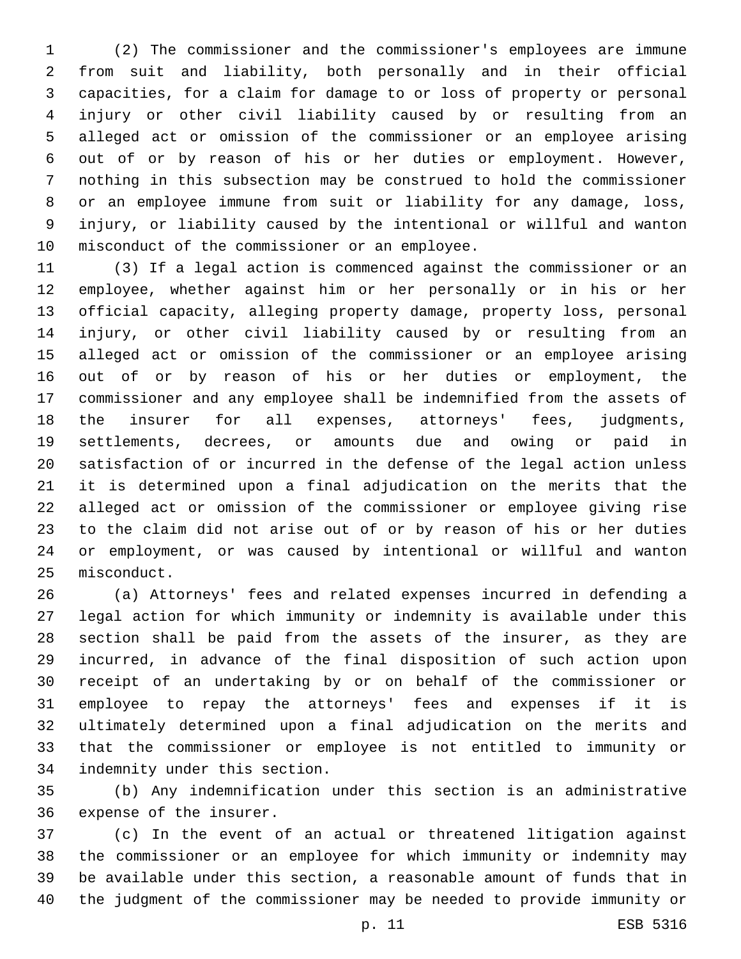(2) The commissioner and the commissioner's employees are immune from suit and liability, both personally and in their official capacities, for a claim for damage to or loss of property or personal injury or other civil liability caused by or resulting from an alleged act or omission of the commissioner or an employee arising out of or by reason of his or her duties or employment. However, nothing in this subsection may be construed to hold the commissioner or an employee immune from suit or liability for any damage, loss, injury, or liability caused by the intentional or willful and wanton 10 misconduct of the commissioner or an employee.

 (3) If a legal action is commenced against the commissioner or an employee, whether against him or her personally or in his or her official capacity, alleging property damage, property loss, personal injury, or other civil liability caused by or resulting from an alleged act or omission of the commissioner or an employee arising out of or by reason of his or her duties or employment, the commissioner and any employee shall be indemnified from the assets of the insurer for all expenses, attorneys' fees, judgments, settlements, decrees, or amounts due and owing or paid in satisfaction of or incurred in the defense of the legal action unless it is determined upon a final adjudication on the merits that the alleged act or omission of the commissioner or employee giving rise to the claim did not arise out of or by reason of his or her duties or employment, or was caused by intentional or willful and wanton 25 misconduct.

 (a) Attorneys' fees and related expenses incurred in defending a legal action for which immunity or indemnity is available under this section shall be paid from the assets of the insurer, as they are incurred, in advance of the final disposition of such action upon receipt of an undertaking by or on behalf of the commissioner or employee to repay the attorneys' fees and expenses if it is ultimately determined upon a final adjudication on the merits and that the commissioner or employee is not entitled to immunity or 34 indemnity under this section.

 (b) Any indemnification under this section is an administrative 36 expense of the insurer.

 (c) In the event of an actual or threatened litigation against the commissioner or an employee for which immunity or indemnity may be available under this section, a reasonable amount of funds that in the judgment of the commissioner may be needed to provide immunity or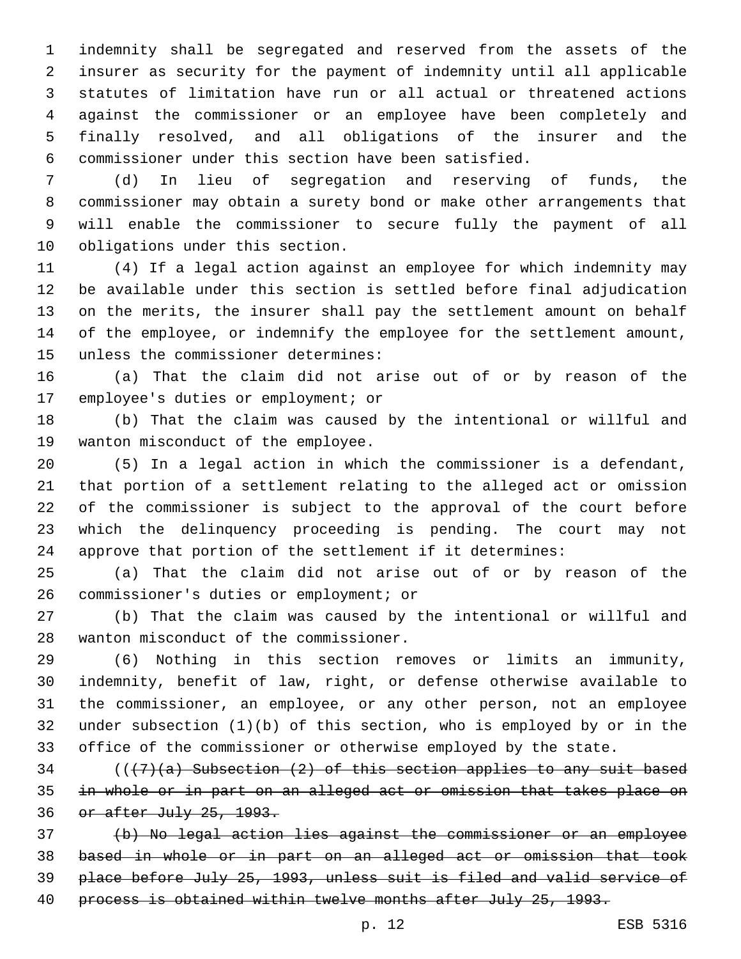indemnity shall be segregated and reserved from the assets of the insurer as security for the payment of indemnity until all applicable statutes of limitation have run or all actual or threatened actions against the commissioner or an employee have been completely and finally resolved, and all obligations of the insurer and the commissioner under this section have been satisfied.

 (d) In lieu of segregation and reserving of funds, the commissioner may obtain a surety bond or make other arrangements that will enable the commissioner to secure fully the payment of all 10 obligations under this section.

 (4) If a legal action against an employee for which indemnity may be available under this section is settled before final adjudication on the merits, the insurer shall pay the settlement amount on behalf of the employee, or indemnify the employee for the settlement amount, 15 unless the commissioner determines:

 (a) That the claim did not arise out of or by reason of the 17 employee's duties or employment; or

 (b) That the claim was caused by the intentional or willful and 19 wanton misconduct of the employee.

 (5) In a legal action in which the commissioner is a defendant, that portion of a settlement relating to the alleged act or omission of the commissioner is subject to the approval of the court before which the delinquency proceeding is pending. The court may not approve that portion of the settlement if it determines:

 (a) That the claim did not arise out of or by reason of the 26 commissioner's duties or employment; or

 (b) That the claim was caused by the intentional or willful and 28 wanton misconduct of the commissioner.

 (6) Nothing in this section removes or limits an immunity, indemnity, benefit of law, right, or defense otherwise available to the commissioner, an employee, or any other person, not an employee under subsection (1)(b) of this section, who is employed by or in the office of the commissioner or otherwise employed by the state.

 (( $(7)$  (a) Subsection (2) of this section applies to any suit based in whole or in part on an alleged act or omission that takes place on or after July 25, 1993.

 (b) No legal action lies against the commissioner or an employee based in whole or in part on an alleged act or omission that took place before July 25, 1993, unless suit is filed and valid service of 40 process is obtained within twelve months after July 25, 1993.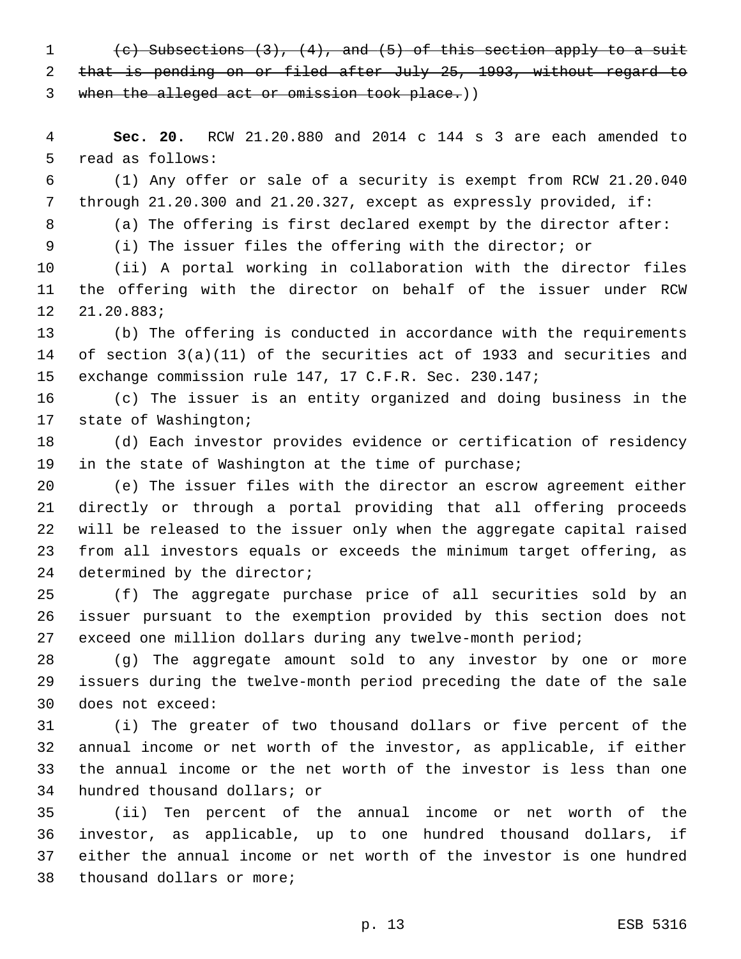(c) Subsections (3), (4), and (5) of this section apply to a suit that is pending on or filed after July 25, 1993, without regard to when the alleged act or omission took place.))

 **Sec. 20.** RCW 21.20.880 and 2014 c 144 s 3 are each amended to 5 read as follows:

 (1) Any offer or sale of a security is exempt from RCW 21.20.040 through 21.20.300 and 21.20.327, except as expressly provided, if:

(a) The offering is first declared exempt by the director after:

(i) The issuer files the offering with the director; or

 (ii) A portal working in collaboration with the director files the offering with the director on behalf of the issuer under RCW 12 21.20.883;

 (b) The offering is conducted in accordance with the requirements of section 3(a)(11) of the securities act of 1933 and securities and exchange commission rule 147, 17 C.F.R. Sec. 230.147;

 (c) The issuer is an entity organized and doing business in the 17 state of Washington;

 (d) Each investor provides evidence or certification of residency in the state of Washington at the time of purchase;

 (e) The issuer files with the director an escrow agreement either directly or through a portal providing that all offering proceeds will be released to the issuer only when the aggregate capital raised from all investors equals or exceeds the minimum target offering, as 24 determined by the director;

 (f) The aggregate purchase price of all securities sold by an issuer pursuant to the exemption provided by this section does not exceed one million dollars during any twelve-month period;

 (g) The aggregate amount sold to any investor by one or more issuers during the twelve-month period preceding the date of the sale 30 does not exceed:

 (i) The greater of two thousand dollars or five percent of the annual income or net worth of the investor, as applicable, if either the annual income or the net worth of the investor is less than one 34 hundred thousand dollars; or

 (ii) Ten percent of the annual income or net worth of the investor, as applicable, up to one hundred thousand dollars, if either the annual income or net worth of the investor is one hundred 38 thousand dollars or more;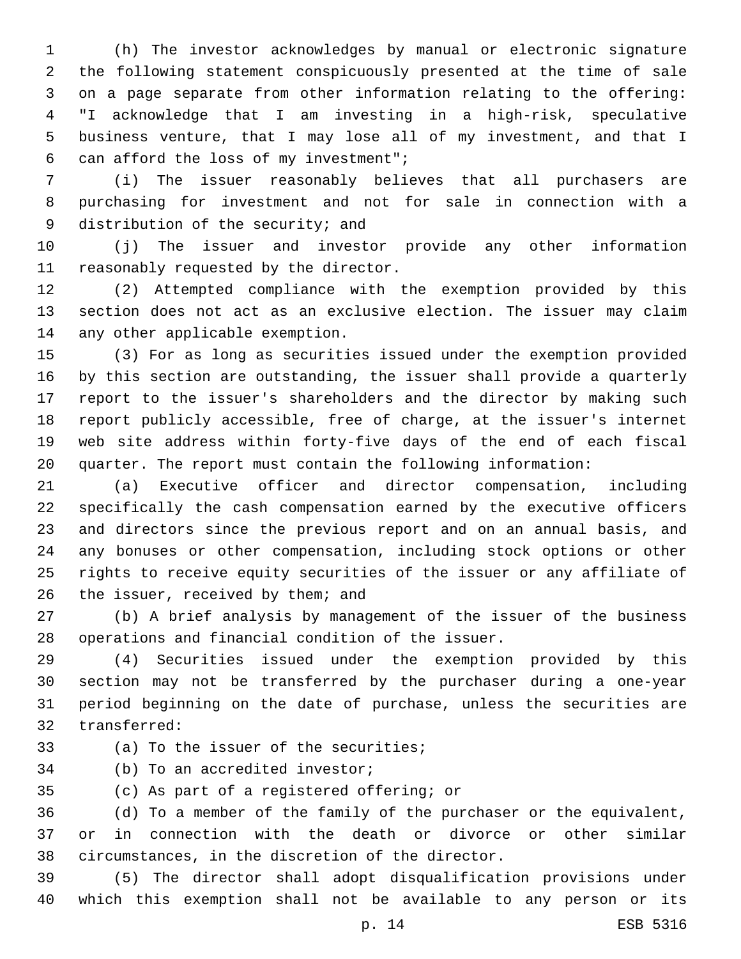(h) The investor acknowledges by manual or electronic signature the following statement conspicuously presented at the time of sale on a page separate from other information relating to the offering: "I acknowledge that I am investing in a high-risk, speculative business venture, that I may lose all of my investment, and that I 6 can afford the loss of my investment";

 (i) The issuer reasonably believes that all purchasers are purchasing for investment and not for sale in connection with a 9 distribution of the security; and

 (j) The issuer and investor provide any other information 11 reasonably requested by the director.

 (2) Attempted compliance with the exemption provided by this section does not act as an exclusive election. The issuer may claim 14 any other applicable exemption.

 (3) For as long as securities issued under the exemption provided by this section are outstanding, the issuer shall provide a quarterly report to the issuer's shareholders and the director by making such report publicly accessible, free of charge, at the issuer's internet web site address within forty-five days of the end of each fiscal quarter. The report must contain the following information:

 (a) Executive officer and director compensation, including specifically the cash compensation earned by the executive officers and directors since the previous report and on an annual basis, and any bonuses or other compensation, including stock options or other rights to receive equity securities of the issuer or any affiliate of 26 the issuer, received by them; and

 (b) A brief analysis by management of the issuer of the business 28 operations and financial condition of the issuer.

 (4) Securities issued under the exemption provided by this section may not be transferred by the purchaser during a one-year period beginning on the date of purchase, unless the securities are 32 transferred:

- 33 (a) To the issuer of the securities;
- 34 (b) To an accredited investor;

35 (c) As part of a registered offering; or

 (d) To a member of the family of the purchaser or the equivalent, or in connection with the death or divorce or other similar 38 circumstances, in the discretion of the director.

 (5) The director shall adopt disqualification provisions under which this exemption shall not be available to any person or its

p. 14 ESB 5316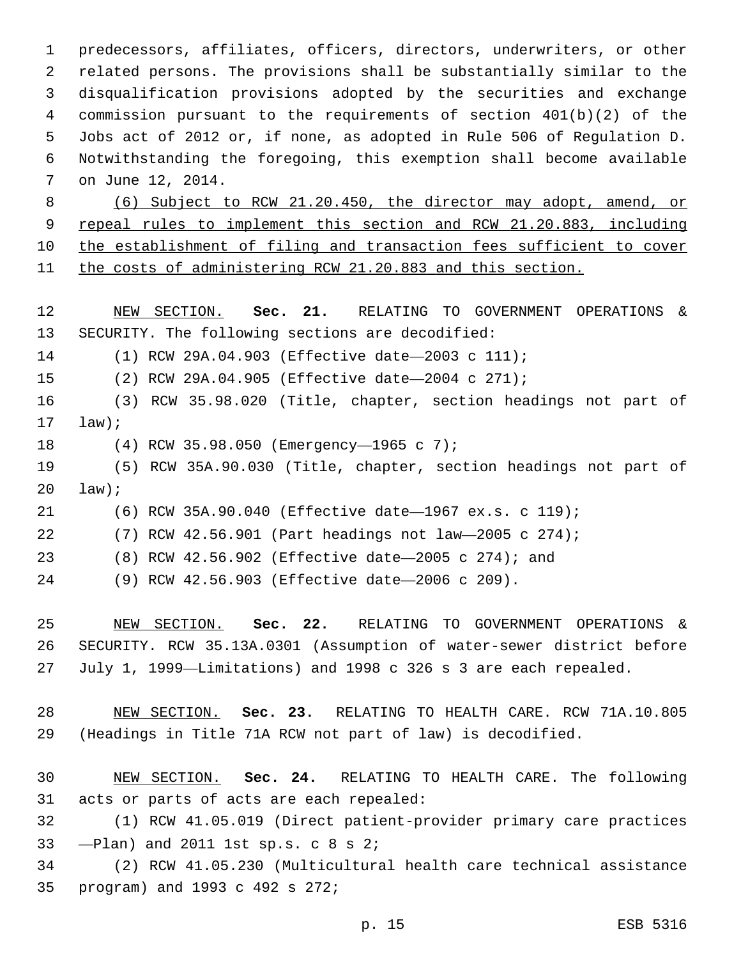predecessors, affiliates, officers, directors, underwriters, or other related persons. The provisions shall be substantially similar to the disqualification provisions adopted by the securities and exchange commission pursuant to the requirements of section 401(b)(2) of the Jobs act of 2012 or, if none, as adopted in Rule 506 of Regulation D. Notwithstanding the foregoing, this exemption shall become available 7 on June 12, 2014.

 (6) Subject to RCW 21.20.450, the director may adopt, amend, or repeal rules to implement this section and RCW 21.20.883, including the establishment of filing and transaction fees sufficient to cover the costs of administering RCW 21.20.883 and this section.

 NEW SECTION. **Sec. 21.** RELATING TO GOVERNMENT OPERATIONS & SECURITY. The following sections are decodified:

(1) RCW 29A.04.903 (Effective date—2003 c 111);

(2) RCW 29A.04.905 (Effective date—2004 c 271);

 (3) RCW 35.98.020 (Title, chapter, section headings not part of law);

(4) RCW 35.98.050 (Emergency—1965 c 7);18

 (5) RCW 35A.90.030 (Title, chapter, section headings not part of law);

(6) RCW 35A.90.040 (Effective date—1967 ex.s. c 119);

(7) RCW 42.56.901 (Part headings not law—2005 c 274);

(8) RCW 42.56.902 (Effective date—2005 c 274); and

(9) RCW 42.56.903 (Effective date—2006 c 209).

 NEW SECTION. **Sec. 22.** RELATING TO GOVERNMENT OPERATIONS & SECURITY. RCW 35.13A.0301 (Assumption of water-sewer district before July 1, 1999—Limitations) and 1998 c 326 s 3 are each repealed.

 NEW SECTION. **Sec. 23.** RELATING TO HEALTH CARE. RCW 71A.10.805 (Headings in Title 71A RCW not part of law) is decodified.

 NEW SECTION. **Sec. 24.** RELATING TO HEALTH CARE. The following acts or parts of acts are each repealed:

 (1) RCW 41.05.019 (Direct patient-provider primary care practices  $-$ Plan) and 2011 1st sp.s.  $\text{c}$  8 s 2;

 (2) RCW 41.05.230 (Multicultural health care technical assistance 35 program) and 1993 c 492 s 272;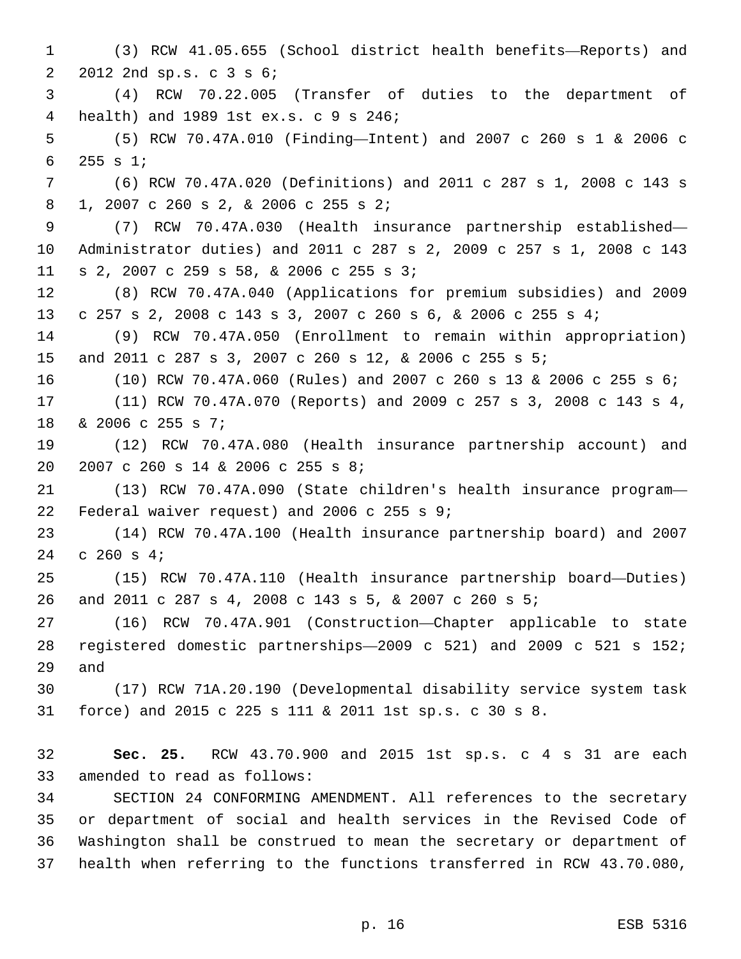(3) RCW 41.05.655 (School district health benefits—Reports) and 2 2012 2nd sp.s. c 3 s 6; (4) RCW 70.22.005 (Transfer of duties to the department of health) and 1989 1st ex.s. c 9 s 246;4 (5) RCW 70.47A.010 (Finding—Intent) and 2007 c 260 s 1 & 2006 c 255 s 1;6 (6) RCW 70.47A.020 (Definitions) and 2011 c 287 s 1, 2008 c 143 s 1, 2007 c 260 s 2, & 2006 c 255 s 2;8 (7) RCW 70.47A.030 (Health insurance partnership established— Administrator duties) and 2011 c 287 s 2, 2009 c 257 s 1, 2008 c 143 s 2, 2007 c 259 s 58, & 2006 c 255 s 3;11 (8) RCW 70.47A.040 (Applications for premium subsidies) and 2009 c 257 s 2, 2008 c 143 s 3, 2007 c 260 s 6, & 2006 c 255 s 4; (9) RCW 70.47A.050 (Enrollment to remain within appropriation) and 2011 c 287 s 3, 2007 c 260 s 12, & 2006 c 255 s 5; (10) RCW 70.47A.060 (Rules) and 2007 c 260 s 13 & 2006 c 255 s 6; (11) RCW 70.47A.070 (Reports) and 2009 c 257 s 3, 2008 c 143 s 4, 18 & 2006 c 255 s 7; (12) RCW 70.47A.080 (Health insurance partnership account) and 20 2007 c 260 s 14 & 2006 c 255 s 8; (13) RCW 70.47A.090 (State children's health insurance program— 22 Federal waiver request) and 2006 c 255 s  $9:22$  (14) RCW 70.47A.100 (Health insurance partnership board) and 2007 24 c 260 s  $4;$  (15) RCW 70.47A.110 (Health insurance partnership board—Duties) and 2011 c 287 s 4, 2008 c 143 s 5, & 2007 c 260 s 5; (16) RCW 70.47A.901 (Construction—Chapter applicable to state registered domestic partnerships—2009 c 521) and 2009 c 521 s 152; 29 and (17) RCW 71A.20.190 (Developmental disability service system task force) and 2015 c 225 s 111 & 2011 1st sp.s. c 30 s 8. **Sec. 25.** RCW 43.70.900 and 2015 1st sp.s. c 4 s 31 are each 33 amended to read as follows: SECTION 24 CONFORMING AMENDMENT. All references to the secretary or department of social and health services in the Revised Code of Washington shall be construed to mean the secretary or department of health when referring to the functions transferred in RCW 43.70.080,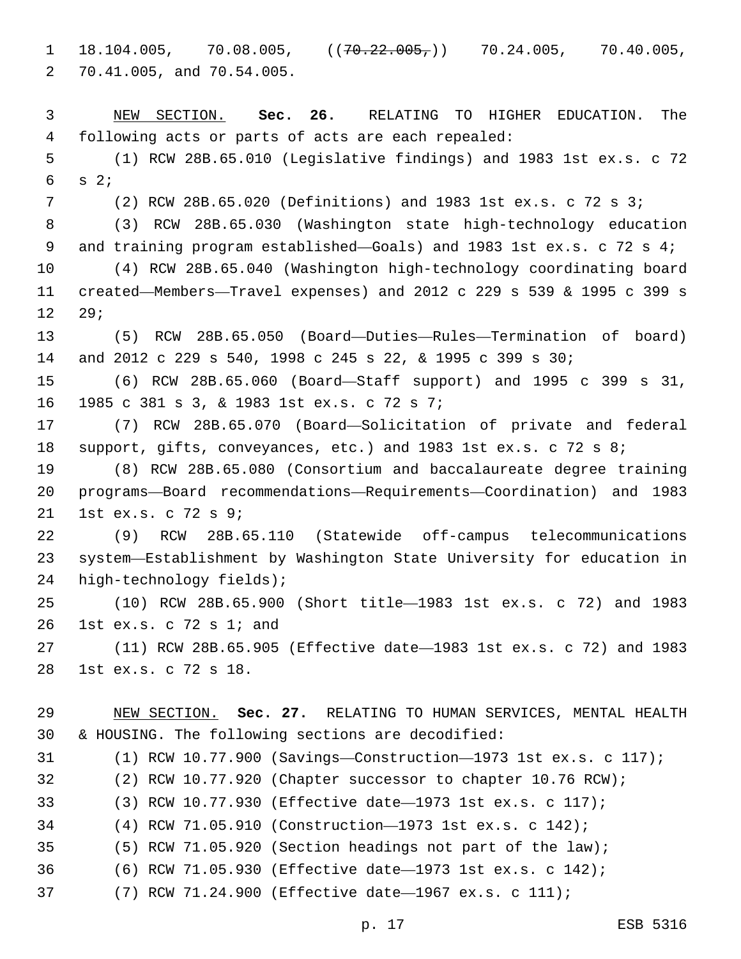$1 \quad 18.104.005, \quad 70.08.005, \quad (70.22.005,) \quad 70.24.005, \quad 70.40.005,$ 70.41.005, and 70.54.005.2

 NEW SECTION. **Sec. 26.** RELATING TO HIGHER EDUCATION. The following acts or parts of acts are each repealed: (1) RCW 28B.65.010 (Legislative findings) and 1983 1st ex.s. c 72 s  $2;$  (2) RCW 28B.65.020 (Definitions) and 1983 1st ex.s. c 72 s 3; (3) RCW 28B.65.030 (Washington state high-technology education and training program established—Goals) and 1983 1st ex.s. c 72 s 4; (4) RCW 28B.65.040 (Washington high-technology coordinating board created—Members—Travel expenses) and 2012 c 229 s 539 & 1995 c 399 s 12 29; (5) RCW 28B.65.050 (Board—Duties—Rules—Termination of board) and 2012 c 229 s 540, 1998 c 245 s 22, & 1995 c 399 s 30; (6) RCW 28B.65.060 (Board—Staff support) and 1995 c 399 s 31, 1985 c 381 s 3, & 1983 1st ex.s. c 72 s 7;16 (7) RCW 28B.65.070 (Board—Solicitation of private and federal 18 support, gifts, conveyances, etc.) and 1983 1st ex.s. c 72 s 8; (8) RCW 28B.65.080 (Consortium and baccalaureate degree training programs—Board recommendations—Requirements—Coordination) and 1983 21 1st ex.s. c 72 s 9; (9) RCW 28B.65.110 (Statewide off-campus telecommunications system—Establishment by Washington State University for education in 24 high-technology fields); (10) RCW 28B.65.900 (Short title—1983 1st ex.s. c 72) and 1983 26 1st ex.s. c 72 s 1; and (11) RCW 28B.65.905 (Effective date—1983 1st ex.s. c 72) and 1983 28 1st ex.s. c 72 s 18. NEW SECTION. **Sec. 27.** RELATING TO HUMAN SERVICES, MENTAL HEALTH & HOUSING. The following sections are decodified: (1) RCW 10.77.900 (Savings—Construction—1973 1st ex.s. c 117); (2) RCW 10.77.920 (Chapter successor to chapter 10.76 RCW); (3) RCW 10.77.930 (Effective date—1973 1st ex.s. c 117); (4) RCW 71.05.910 (Construction—1973 1st ex.s. c 142); (5) RCW 71.05.920 (Section headings not part of the law);

- (6) RCW 71.05.930 (Effective date—1973 1st ex.s. c 142);
- (7) RCW 71.24.900 (Effective date—1967 ex.s. c 111);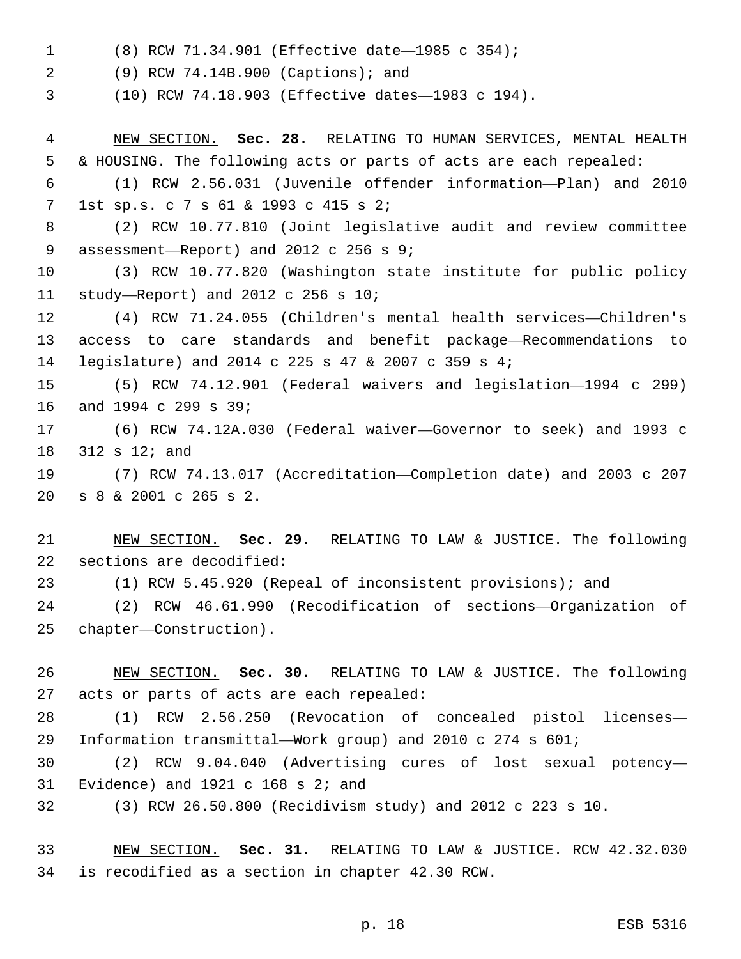(8) RCW 71.34.901 (Effective date—1985 c 354);1

(9) RCW 74.14B.900 (Captions); and2

(10) RCW 74.18.903 (Effective dates—1983 c 194).

 NEW SECTION. **Sec. 28.** RELATING TO HUMAN SERVICES, MENTAL HEALTH & HOUSING. The following acts or parts of acts are each repealed:

 (1) RCW 2.56.031 (Juvenile offender information—Plan) and 2010 1st sp.s. c 7 s 61 & 1993 c 415 s 2;7

 (2) RCW 10.77.810 (Joint legislative audit and review committee 9 assessment—Report) and 2012 c 256 s 9;

 (3) RCW 10.77.820 (Washington state institute for public policy 11 study—Report) and 2012 c 256 s  $10i$ 

 (4) RCW 71.24.055 (Children's mental health services—Children's access to care standards and benefit package—Recommendations to legislature) and 2014 c 225 s 47 & 2007 c 359 s 4;

 (5) RCW 74.12.901 (Federal waivers and legislation—1994 c 299) 16 and 1994 c 299 s 39;

 (6) RCW 74.12A.030 (Federal waiver—Governor to seek) and 1993 c 312 s 12; and

 (7) RCW 74.13.017 (Accreditation—Completion date) and 2003 c 207 s 8 & 2001 c 265 s 2.20

 NEW SECTION. **Sec. 29.** RELATING TO LAW & JUSTICE. The following sections are decodified:

(1) RCW 5.45.920 (Repeal of inconsistent provisions); and

 (2) RCW 46.61.990 (Recodification of sections—Organization of 25 chapter—Construction).

 NEW SECTION. **Sec. 30.** RELATING TO LAW & JUSTICE. The following acts or parts of acts are each repealed:

 (1) RCW 2.56.250 (Revocation of concealed pistol licenses— Information transmittal—Work group) and 2010 c 274 s 601;

 (2) RCW 9.04.040 (Advertising cures of lost sexual potency— 31 Evidence) and c  $168$  s  $2i$  and

(3) RCW 26.50.800 (Recidivism study) and 2012 c 223 s 10.

 NEW SECTION. **Sec. 31.** RELATING TO LAW & JUSTICE. RCW 42.32.030 is recodified as a section in chapter 42.30 RCW.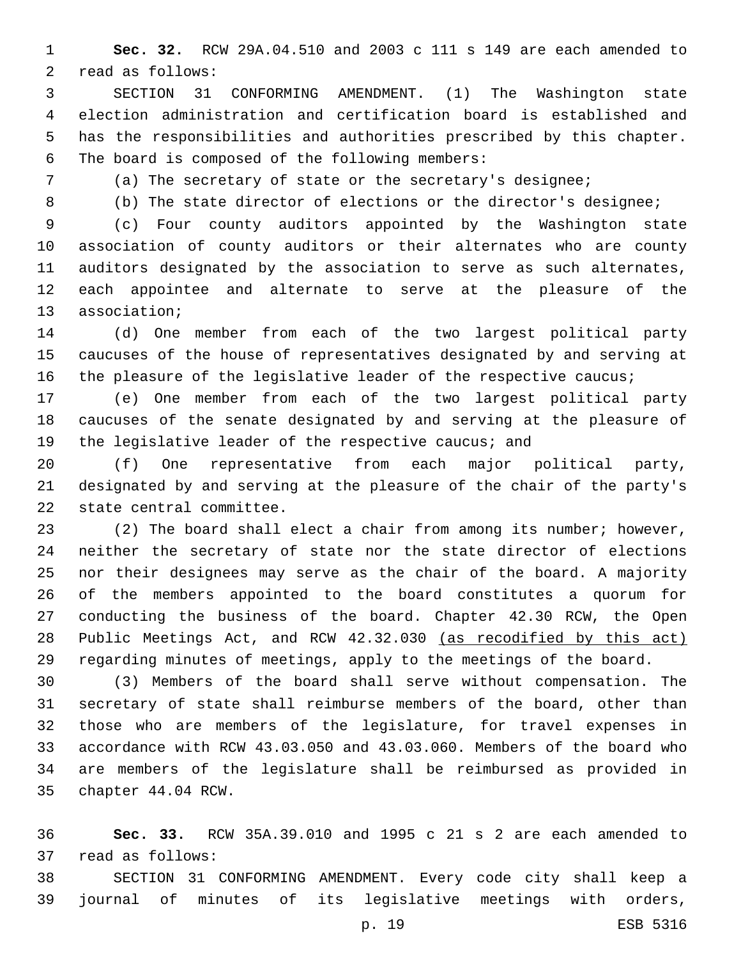**Sec. 32.** RCW 29A.04.510 and 2003 c 111 s 149 are each amended to 2 read as follows:

 SECTION 31 CONFORMING AMENDMENT. (1) The Washington state election administration and certification board is established and has the responsibilities and authorities prescribed by this chapter. 6 The board is composed of the following members:

- 
- 

(a) The secretary of state or the secretary's designee;

(b) The state director of elections or the director's designee;

 (c) Four county auditors appointed by the Washington state association of county auditors or their alternates who are county auditors designated by the association to serve as such alternates, each appointee and alternate to serve at the pleasure of the 13 association;

 (d) One member from each of the two largest political party caucuses of the house of representatives designated by and serving at 16 the pleasure of the legislative leader of the respective caucus;

 (e) One member from each of the two largest political party caucuses of the senate designated by and serving at the pleasure of 19 the legislative leader of the respective caucus; and

 (f) One representative from each major political party, designated by and serving at the pleasure of the chair of the party's 22 state central committee.

 (2) The board shall elect a chair from among its number; however, neither the secretary of state nor the state director of elections nor their designees may serve as the chair of the board. A majority of the members appointed to the board constitutes a quorum for conducting the business of the board. Chapter 42.30 RCW, the Open 28 Public Meetings Act, and RCW 42.32.030 (as recodified by this act) regarding minutes of meetings, apply to the meetings of the board.

 (3) Members of the board shall serve without compensation. The secretary of state shall reimburse members of the board, other than those who are members of the legislature, for travel expenses in accordance with RCW 43.03.050 and 43.03.060. Members of the board who are members of the legislature shall be reimbursed as provided in 35 chapter 44.04 RCW.

 **Sec. 33.** RCW 35A.39.010 and 1995 c 21 s 2 are each amended to read as follows:37

 SECTION 31 CONFORMING AMENDMENT. Every code city shall keep a journal of minutes of its legislative meetings with orders,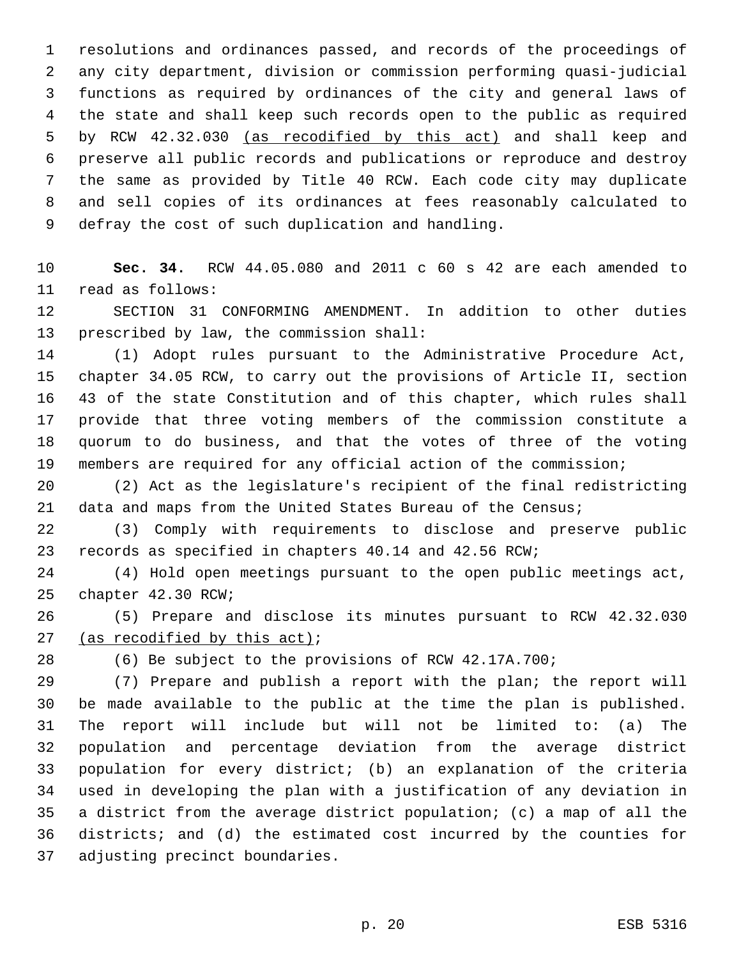resolutions and ordinances passed, and records of the proceedings of any city department, division or commission performing quasi-judicial functions as required by ordinances of the city and general laws of the state and shall keep such records open to the public as required by RCW 42.32.030 (as recodified by this act) and shall keep and preserve all public records and publications or reproduce and destroy the same as provided by Title 40 RCW. Each code city may duplicate and sell copies of its ordinances at fees reasonably calculated to 9 defray the cost of such duplication and handling.

 **Sec. 34.** RCW 44.05.080 and 2011 c 60 s 42 are each amended to 11 read as follows:

 SECTION 31 CONFORMING AMENDMENT. In addition to other duties 13 prescribed by law, the commission shall:

 (1) Adopt rules pursuant to the Administrative Procedure Act, chapter 34.05 RCW, to carry out the provisions of Article II, section 43 of the state Constitution and of this chapter, which rules shall provide that three voting members of the commission constitute a quorum to do business, and that the votes of three of the voting members are required for any official action of the commission;

 (2) Act as the legislature's recipient of the final redistricting 21 data and maps from the United States Bureau of the Census;

 (3) Comply with requirements to disclose and preserve public records as specified in chapters 40.14 and 42.56 RCW;

 (4) Hold open meetings pursuant to the open public meetings act, 25 chapter 42.30 RCW;

 (5) Prepare and disclose its minutes pursuant to RCW 42.32.030 27 (as recodified by this  $act$ );

(6) Be subject to the provisions of RCW 42.17A.700;

 (7) Prepare and publish a report with the plan; the report will be made available to the public at the time the plan is published. The report will include but will not be limited to: (a) The population and percentage deviation from the average district population for every district; (b) an explanation of the criteria used in developing the plan with a justification of any deviation in a district from the average district population; (c) a map of all the districts; and (d) the estimated cost incurred by the counties for 37 adjusting precinct boundaries.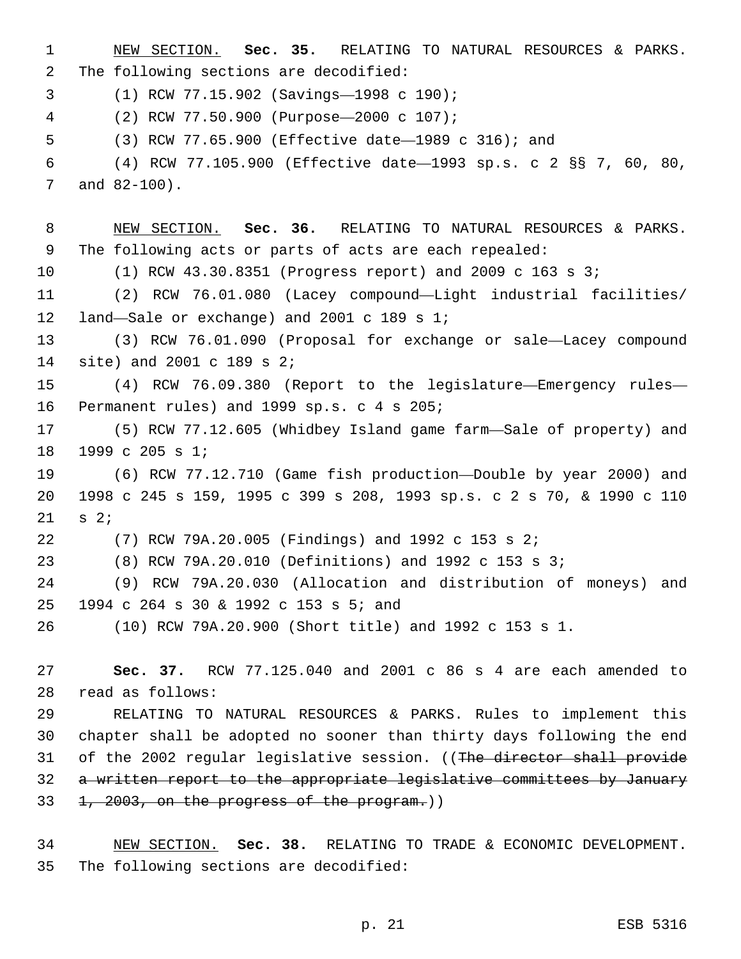NEW SECTION. **Sec. 35.** RELATING TO NATURAL RESOURCES & PARKS. The following sections are decodified: (1) RCW 77.15.902 (Savings—1998 c 190);3 (2) RCW 77.50.900 (Purpose—2000 c 107);4 (3) RCW 77.65.900 (Effective date—1989 c 316); and (4) RCW 77.105.900 (Effective date—1993 sp.s. c 2 §§ 7, 60, 80, 7 and  $82-100$ ). NEW SECTION. **Sec. 36.** RELATING TO NATURAL RESOURCES & PARKS. The following acts or parts of acts are each repealed: (1) RCW 43.30.8351 (Progress report) and 2009 c 163 s 3; (2) RCW 76.01.080 (Lacey compound—Light industrial facilities/ 12 land—Sale or exchange) and 2001 c 189 s  $1i$  (3) RCW 76.01.090 (Proposal for exchange or sale—Lacey compound 14 site) and 2001 c 189 s 2; (4) RCW 76.09.380 (Report to the legislature—Emergency rules— 16 Permanent rules) and 1999 sp.s. c 4 s 205; (5) RCW 77.12.605 (Whidbey Island game farm—Sale of property) and 18 1999 c 205 s 1; (6) RCW 77.12.710 (Game fish production—Double by year 2000) and 1998 c 245 s 159, 1995 c 399 s 208, 1993 sp.s. c 2 s 70, & 1990 c 110 s  $2i$  (7) RCW 79A.20.005 (Findings) and 1992 c 153 s 2; (8) RCW 79A.20.010 (Definitions) and 1992 c 153 s 3; (9) RCW 79A.20.030 (Allocation and distribution of moneys) and 25 1994 c 264 s 30 & 1992 c 153 s 5; and (10) RCW 79A.20.900 (Short title) and 1992 c 153 s 1. **Sec. 37.** RCW 77.125.040 and 2001 c 86 s 4 are each amended to 28 read as follows: RELATING TO NATURAL RESOURCES & PARKS. Rules to implement this chapter shall be adopted no sooner than thirty days following the end 31 of the 2002 regular legislative session. ((The director shall provide 32 a written report to the appropriate legislative committees by January 33 1, 2003, on the progress of the program.)) NEW SECTION. **Sec. 38.** RELATING TO TRADE & ECONOMIC DEVELOPMENT. The following sections are decodified:

p. 21 ESB 5316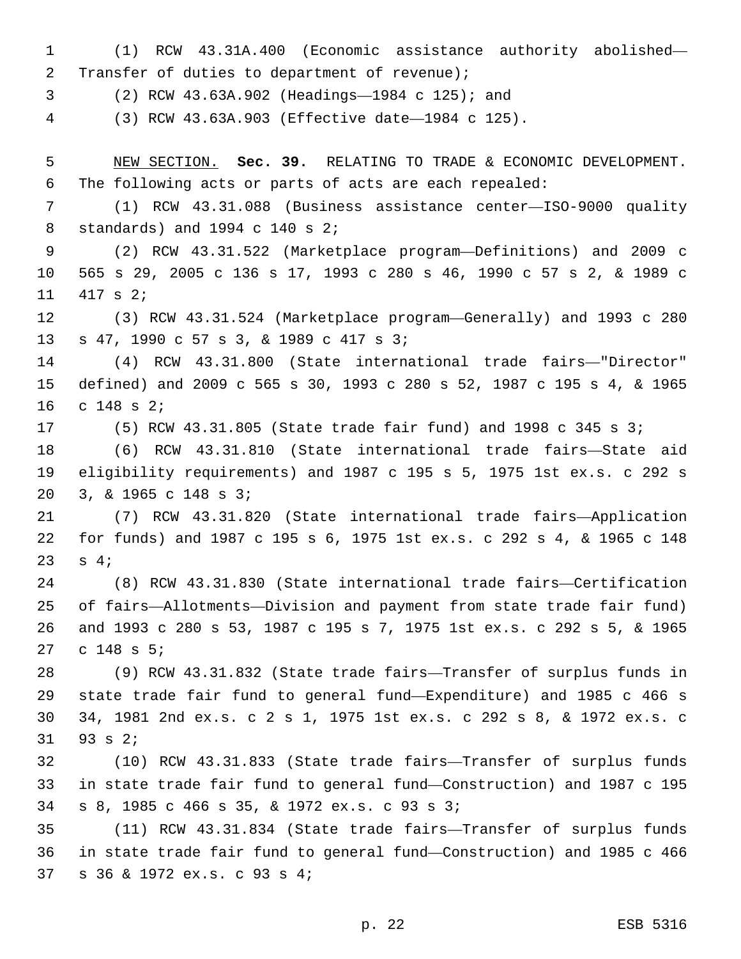(1) RCW 43.31A.400 (Economic assistance authority abolished— 2 Transfer of duties to department of revenue); (2) RCW 43.63A.902 (Headings—1984 c 125); and3 (3) RCW 43.63A.903 (Effective date—1984 c 125). NEW SECTION. **Sec. 39.** RELATING TO TRADE & ECONOMIC DEVELOPMENT. The following acts or parts of acts are each repealed: (1) RCW 43.31.088 (Business assistance center—ISO-9000 quality 8 standards) and 1994 c 140 s 2; (2) RCW 43.31.522 (Marketplace program—Definitions) and 2009 c 565 s 29, 2005 c 136 s 17, 1993 c 280 s 46, 1990 c 57 s 2, & 1989 c 11 417 s 2; (3) RCW 43.31.524 (Marketplace program—Generally) and 1993 c 280 s 47, 1990 c 57 s 3, & 1989 c 417 s 3;13 (4) RCW 43.31.800 (State international trade fairs—"Director" defined) and 2009 c 565 s 30, 1993 c 280 s 52, 1987 c 195 s 4, & 1965 16 c 148 s 2; (5) RCW 43.31.805 (State trade fair fund) and 1998 c 345 s 3; (6) RCW 43.31.810 (State international trade fairs—State aid eligibility requirements) and 1987 c 195 s 5, 1975 1st ex.s. c 292 s 3, & 1965 c 148 s 3;20 (7) RCW 43.31.820 (State international trade fairs—Application for funds) and 1987 c 195 s 6, 1975 1st ex.s. c 292 s 4, & 1965 c 148  $s$  4; (8) RCW 43.31.830 (State international trade fairs—Certification of fairs—Allotments—Division and payment from state trade fair fund) and 1993 c 280 s 53, 1987 c 195 s 7, 1975 1st ex.s. c 292 s 5, & 1965 27 c 148 s 5; (9) RCW 43.31.832 (State trade fairs—Transfer of surplus funds in state trade fair fund to general fund—Expenditure) and 1985 c 466 s 34, 1981 2nd ex.s. c 2 s 1, 1975 1st ex.s. c 292 s 8, & 1972 ex.s. c  $93$  s  $2i$  (10) RCW 43.31.833 (State trade fairs—Transfer of surplus funds in state trade fair fund to general fund—Construction) and 1987 c 195 s 8, 1985 c 466 s 35, & 1972 ex.s. c 93 s 3;34 (11) RCW 43.31.834 (State trade fairs—Transfer of surplus funds in state trade fair fund to general fund—Construction) and 1985 c 466 s 36 & 1972 ex.s. c 93 s 4;37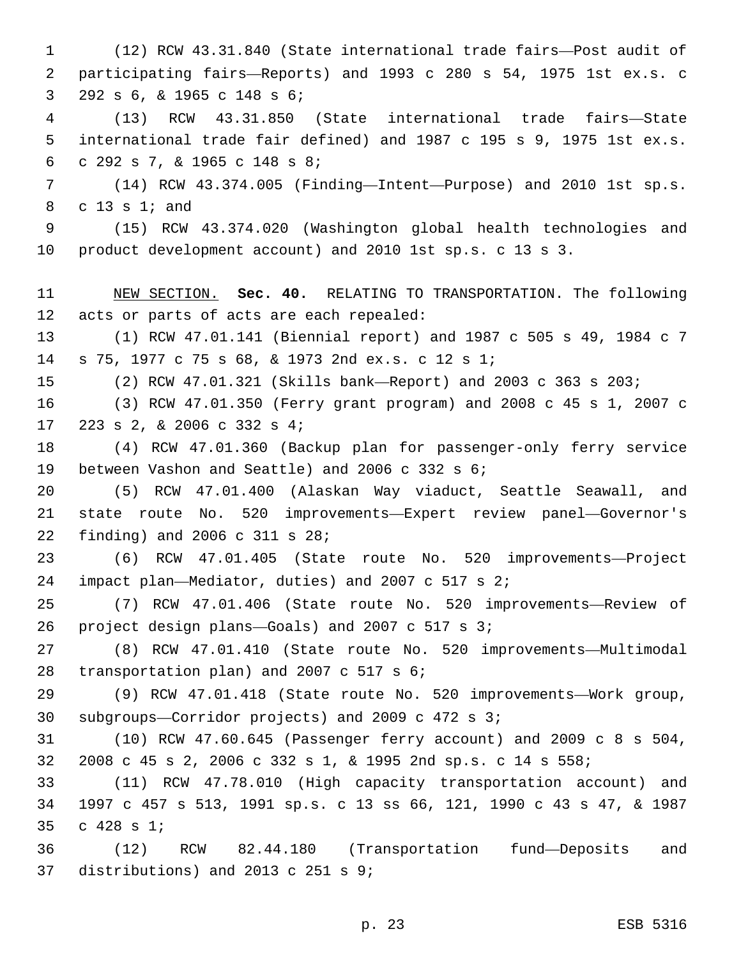(12) RCW 43.31.840 (State international trade fairs—Post audit of participating fairs—Reports) and 1993 c 280 s 54, 1975 1st ex.s. c 3 292 s 6, & 1965 c 148 s 6; (13) RCW 43.31.850 (State international trade fairs—State international trade fair defined) and 1987 c 195 s 9, 1975 1st ex.s. c 292 s 7, & 1965 c 148 s 8;6 (14) RCW 43.374.005 (Finding—Intent—Purpose) and 2010 1st sp.s. 8 c 13 s 1; and (15) RCW 43.374.020 (Washington global health technologies and product development account) and 2010 1st sp.s. c 13 s 3. NEW SECTION. **Sec. 40.** RELATING TO TRANSPORTATION. The following acts or parts of acts are each repealed: (1) RCW 47.01.141 (Biennial report) and 1987 c 505 s 49, 1984 c 7 s 75, 1977 c 75 s 68, & 1973 2nd ex.s. c 12 s 1;14 (2) RCW 47.01.321 (Skills bank—Report) and 2003 c 363 s 203; (3) RCW 47.01.350 (Ferry grant program) and 2008 c 45 s 1, 2007 c 17 223 s 2, & 2006 c 332 s 4; (4) RCW 47.01.360 (Backup plan for passenger-only ferry service 19 between Vashon and Seattle) and 2006 c 332 s 6; (5) RCW 47.01.400 (Alaskan Way viaduct, Seattle Seawall, and state route No. 520 improvements—Expert review panel—Governor's 22 finding) and 2006 c 311 s 28; (6) RCW 47.01.405 (State route No. 520 improvements—Project 24 impact plan—Mediator, duties) and 2007 c 517 s  $2i$  (7) RCW 47.01.406 (State route No. 520 improvements—Review of project design plans—Goals) and 2007 c 517 s 3;26 (8) RCW 47.01.410 (State route No. 520 improvements—Multimodal 28 transportation plan) and 2007 c 517 s 6; (9) RCW 47.01.418 (State route No. 520 improvements—Work group, 30 subgroups-Corridor projects) and 2009 c 472 s  $3i$  (10) RCW 47.60.645 (Passenger ferry account) and 2009 c 8 s 504, 2008 c 45 s 2, 2006 c 332 s 1, & 1995 2nd sp.s. c 14 s 558; (11) RCW 47.78.010 (High capacity transportation account) and 1997 c 457 s 513, 1991 sp.s. c 13 ss 66, 121, 1990 c 43 s 47, & 1987 35 c 428 s 1; (12) RCW 82.44.180 (Transportation fund—Deposits and 37 distributions) and 2013 c 251 s 9;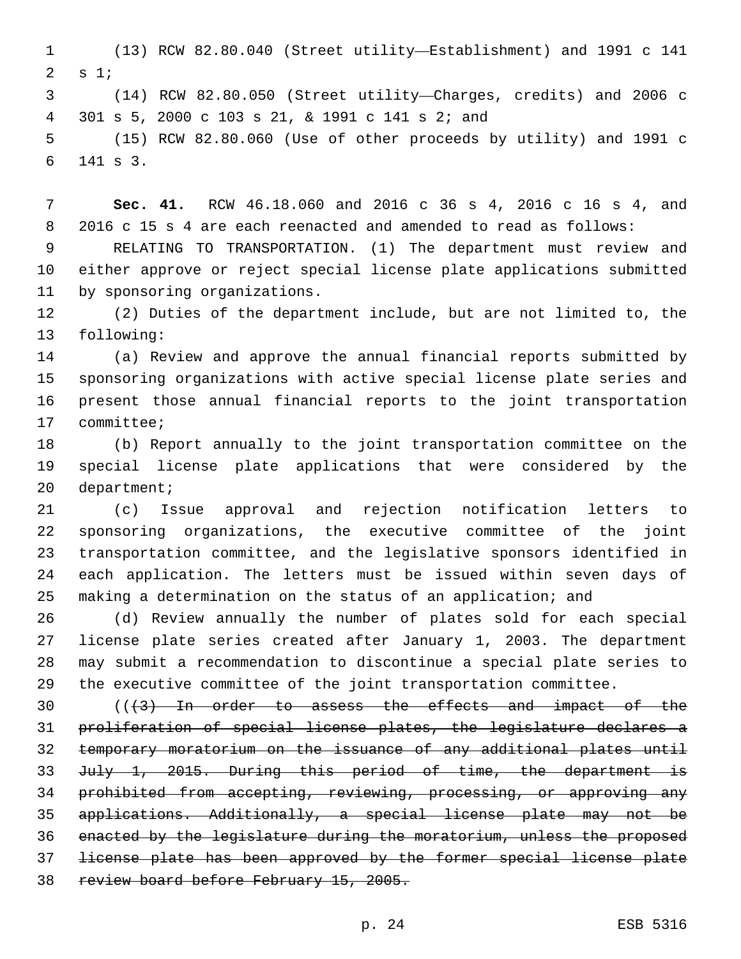(13) RCW 82.80.040 (Street utility—Establishment) and 1991 c 141 s 1;

 (14) RCW 82.80.050 (Street utility—Charges, credits) and 2006 c 301 s 5, 2000 c 103 s 21, & 1991 c 141 s 2; and4

 (15) RCW 82.80.060 (Use of other proceeds by utility) and 1991 c 141 s 3.6

 **Sec. 41.** RCW 46.18.060 and 2016 c 36 s 4, 2016 c 16 s 4, and 2016 c 15 s 4 are each reenacted and amended to read as follows:

 RELATING TO TRANSPORTATION. (1) The department must review and either approve or reject special license plate applications submitted 11 by sponsoring organizations.

 (2) Duties of the department include, but are not limited to, the 13 following:

 (a) Review and approve the annual financial reports submitted by sponsoring organizations with active special license plate series and present those annual financial reports to the joint transportation 17 committee;

 (b) Report annually to the joint transportation committee on the special license plate applications that were considered by the 20 department;

 (c) Issue approval and rejection notification letters to sponsoring organizations, the executive committee of the joint transportation committee, and the legislative sponsors identified in each application. The letters must be issued within seven days of making a determination on the status of an application; and

 (d) Review annually the number of plates sold for each special license plate series created after January 1, 2003. The department may submit a recommendation to discontinue a special plate series to the executive committee of the joint transportation committee.

 (( $\left(43\right)$  In order to assess the effects and impact of the proliferation of special license plates, the legislature declares a temporary moratorium on the issuance of any additional plates until July 1, 2015. During this period of time, the department is 34 prohibited from accepting, reviewing, processing, or approving any applications. Additionally, a special license plate may not be enacted by the legislature during the moratorium, unless the proposed license plate has been approved by the former special license plate 38 review board before February 15, 2005.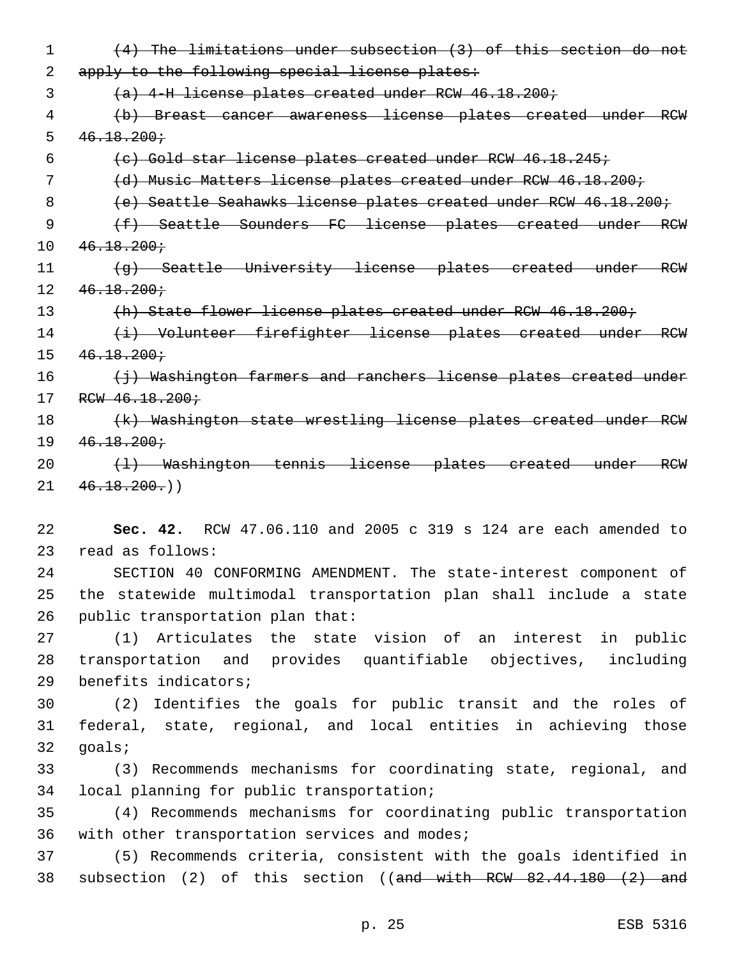1 (4) The limitations under subsection (3) of this section do not 2 apply to the following special license plates: 3 (a) 4-H license plates created under RCW 46.18.200; 4 (b) Breast cancer awareness license plates created under RCW  $5 \quad 46.18.200 \div$ 6 (c) Gold star license plates created under RCW 46.18.245; 7 (d) Music Matters license plates created under RCW 46.18.200; 8 (e) Seattle Seahawks license plates created under RCW 46.18.200; 9 (f) Seattle Sounders FC license plates created under RCW  $10 \quad 46.18.200 \div$ 11 (g) Seattle University license plates created under RCW  $12 \quad 46.18.200 \div$ 13 (h) State flower license plates created under RCW 46.18.200; 14 (i) Volunteer firefighter license plates created under RCW  $15 \quad 46.18.200 \div$ 16 (i) Washington farmers and ranchers license plates created under 17 RCW 46.18.200; 18 (k) Washington state wrestling license plates created under RCW  $19 \quad 46.18.200 \div$ 20 (1) Washington tennis license plates created under RCW  $21 \quad 46.18.200()$ 22 **Sec. 42.** RCW 47.06.110 and 2005 c 319 s 124 are each amended to read as follows:23

24 SECTION 40 CONFORMING AMENDMENT. The state-interest component of 25 the statewide multimodal transportation plan shall include a state 26 public transportation plan that:

27 (1) Articulates the state vision of an interest in public 28 transportation and provides quantifiable objectives, including 29 benefits indicators;

30 (2) Identifies the goals for public transit and the roles of 31 federal, state, regional, and local entities in achieving those 32 qoals;

33 (3) Recommends mechanisms for coordinating state, regional, and 34 local planning for public transportation;

35 (4) Recommends mechanisms for coordinating public transportation 36 with other transportation services and modes;

37 (5) Recommends criteria, consistent with the goals identified in 38 subsection (2) of this section ((and with RCW 82.44.180 (2) and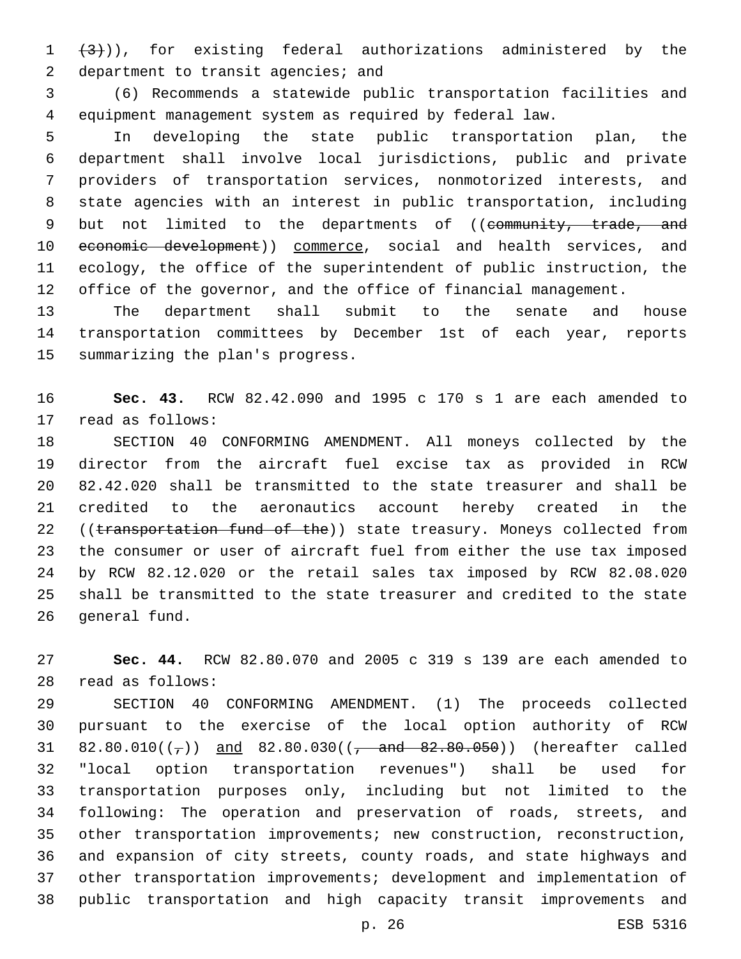$(3)$ ), for existing federal authorizations administered by the 2 department to transit agencies; and

 (6) Recommends a statewide public transportation facilities and equipment management system as required by federal law.

 In developing the state public transportation plan, the department shall involve local jurisdictions, public and private providers of transportation services, nonmotorized interests, and state agencies with an interest in public transportation, including 9 but not limited to the departments of ((community, trade, and 10 economic development)) commerce, social and health services, and ecology, the office of the superintendent of public instruction, the office of the governor, and the office of financial management.

 The department shall submit to the senate and house transportation committees by December 1st of each year, reports 15 summarizing the plan's progress.

 **Sec. 43.** RCW 82.42.090 and 1995 c 170 s 1 are each amended to 17 read as follows:

 SECTION 40 CONFORMING AMENDMENT. All moneys collected by the director from the aircraft fuel excise tax as provided in RCW 82.42.020 shall be transmitted to the state treasurer and shall be credited to the aeronautics account hereby created in the 22 ((transportation fund of the)) state treasury. Moneys collected from the consumer or user of aircraft fuel from either the use tax imposed by RCW 82.12.020 or the retail sales tax imposed by RCW 82.08.020 shall be transmitted to the state treasurer and credited to the state 26 general fund.

 **Sec. 44.** RCW 82.80.070 and 2005 c 319 s 139 are each amended to read as follows:28

 SECTION 40 CONFORMING AMENDMENT. (1) The proceeds collected pursuant to the exercise of the local option authority of RCW 31 82.80.010( $(\frac{1}{7})$ ) and 82.80.030( $(\frac{1}{7})$  and 82.80.050)) (hereafter called "local option transportation revenues") shall be used for transportation purposes only, including but not limited to the following: The operation and preservation of roads, streets, and other transportation improvements; new construction, reconstruction, and expansion of city streets, county roads, and state highways and other transportation improvements; development and implementation of public transportation and high capacity transit improvements and

p. 26 ESB 5316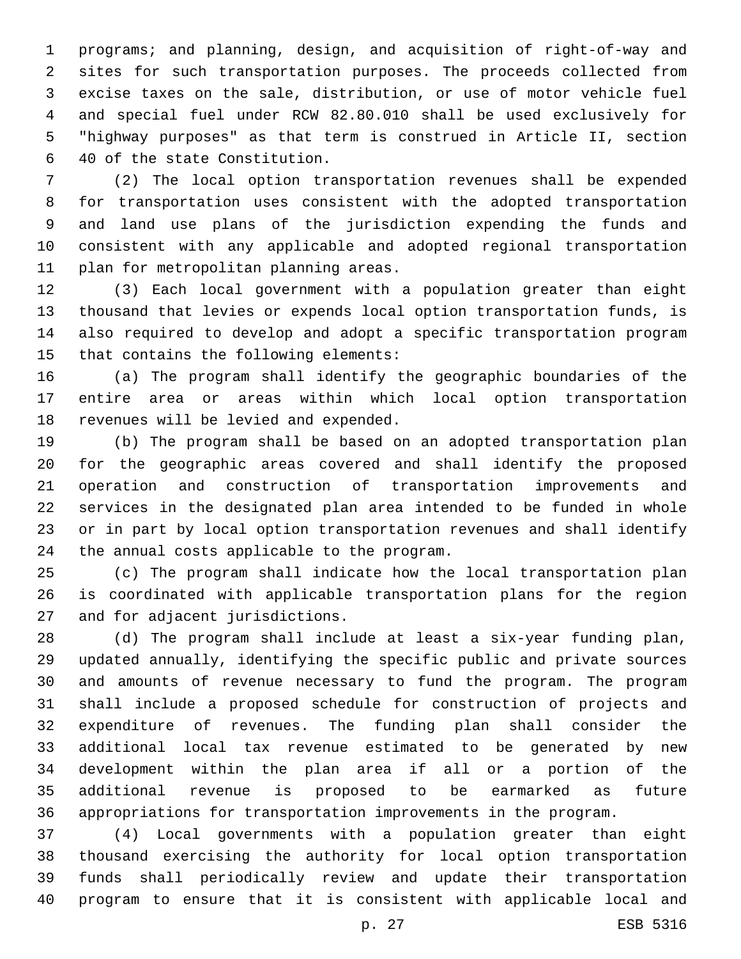programs; and planning, design, and acquisition of right-of-way and sites for such transportation purposes. The proceeds collected from excise taxes on the sale, distribution, or use of motor vehicle fuel and special fuel under RCW 82.80.010 shall be used exclusively for "highway purposes" as that term is construed in Article II, section 40 of the state Constitution.6

 (2) The local option transportation revenues shall be expended for transportation uses consistent with the adopted transportation and land use plans of the jurisdiction expending the funds and consistent with any applicable and adopted regional transportation 11 plan for metropolitan planning areas.

 (3) Each local government with a population greater than eight thousand that levies or expends local option transportation funds, is also required to develop and adopt a specific transportation program 15 that contains the following elements:

 (a) The program shall identify the geographic boundaries of the entire area or areas within which local option transportation 18 revenues will be levied and expended.

 (b) The program shall be based on an adopted transportation plan for the geographic areas covered and shall identify the proposed operation and construction of transportation improvements and services in the designated plan area intended to be funded in whole or in part by local option transportation revenues and shall identify 24 the annual costs applicable to the program.

 (c) The program shall indicate how the local transportation plan is coordinated with applicable transportation plans for the region 27 and for adjacent jurisdictions.

 (d) The program shall include at least a six-year funding plan, updated annually, identifying the specific public and private sources and amounts of revenue necessary to fund the program. The program shall include a proposed schedule for construction of projects and expenditure of revenues. The funding plan shall consider the additional local tax revenue estimated to be generated by new development within the plan area if all or a portion of the additional revenue is proposed to be earmarked as future appropriations for transportation improvements in the program.

 (4) Local governments with a population greater than eight thousand exercising the authority for local option transportation funds shall periodically review and update their transportation program to ensure that it is consistent with applicable local and

p. 27 ESB 5316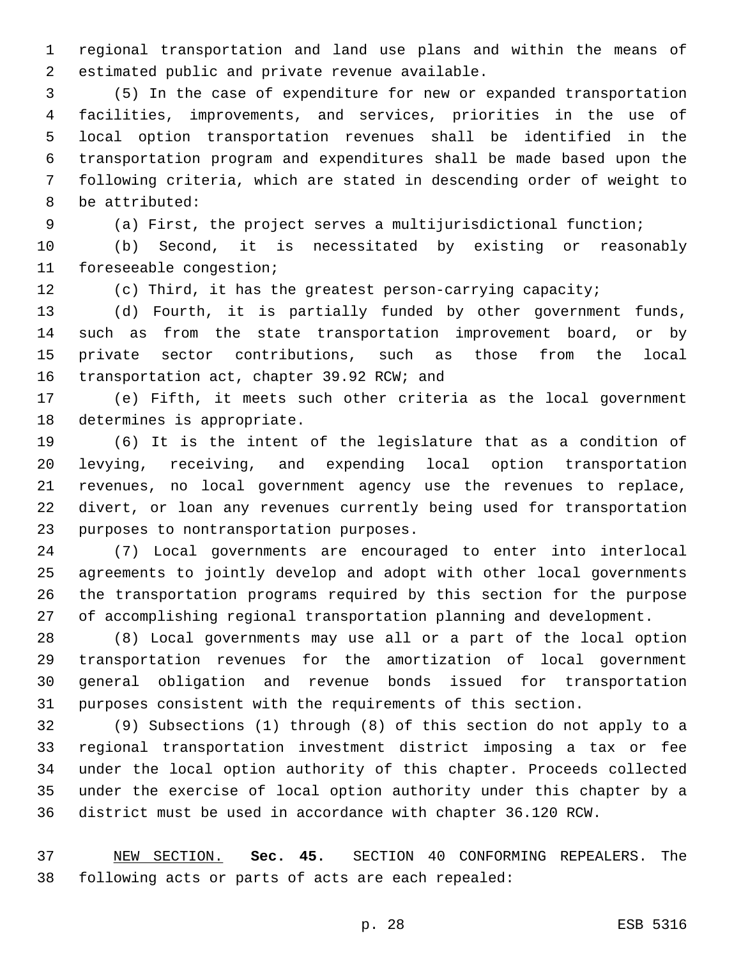regional transportation and land use plans and within the means of 2 estimated public and private revenue available.

 (5) In the case of expenditure for new or expanded transportation facilities, improvements, and services, priorities in the use of local option transportation revenues shall be identified in the transportation program and expenditures shall be made based upon the following criteria, which are stated in descending order of weight to 8 be attributed:

(a) First, the project serves a multijurisdictional function;

 (b) Second, it is necessitated by existing or reasonably 11 foreseeable congestion;

(c) Third, it has the greatest person-carrying capacity;

 (d) Fourth, it is partially funded by other government funds, such as from the state transportation improvement board, or by private sector contributions, such as those from the local 16 transportation act, chapter 39.92 RCW; and

 (e) Fifth, it meets such other criteria as the local government 18 determines is appropriate.

 (6) It is the intent of the legislature that as a condition of levying, receiving, and expending local option transportation revenues, no local government agency use the revenues to replace, divert, or loan any revenues currently being used for transportation 23 purposes to nontransportation purposes.

 (7) Local governments are encouraged to enter into interlocal agreements to jointly develop and adopt with other local governments the transportation programs required by this section for the purpose of accomplishing regional transportation planning and development.

 (8) Local governments may use all or a part of the local option transportation revenues for the amortization of local government general obligation and revenue bonds issued for transportation purposes consistent with the requirements of this section.

 (9) Subsections (1) through (8) of this section do not apply to a regional transportation investment district imposing a tax or fee under the local option authority of this chapter. Proceeds collected under the exercise of local option authority under this chapter by a district must be used in accordance with chapter 36.120 RCW.

 NEW SECTION. **Sec. 45.** SECTION 40 CONFORMING REPEALERS. The following acts or parts of acts are each repealed: